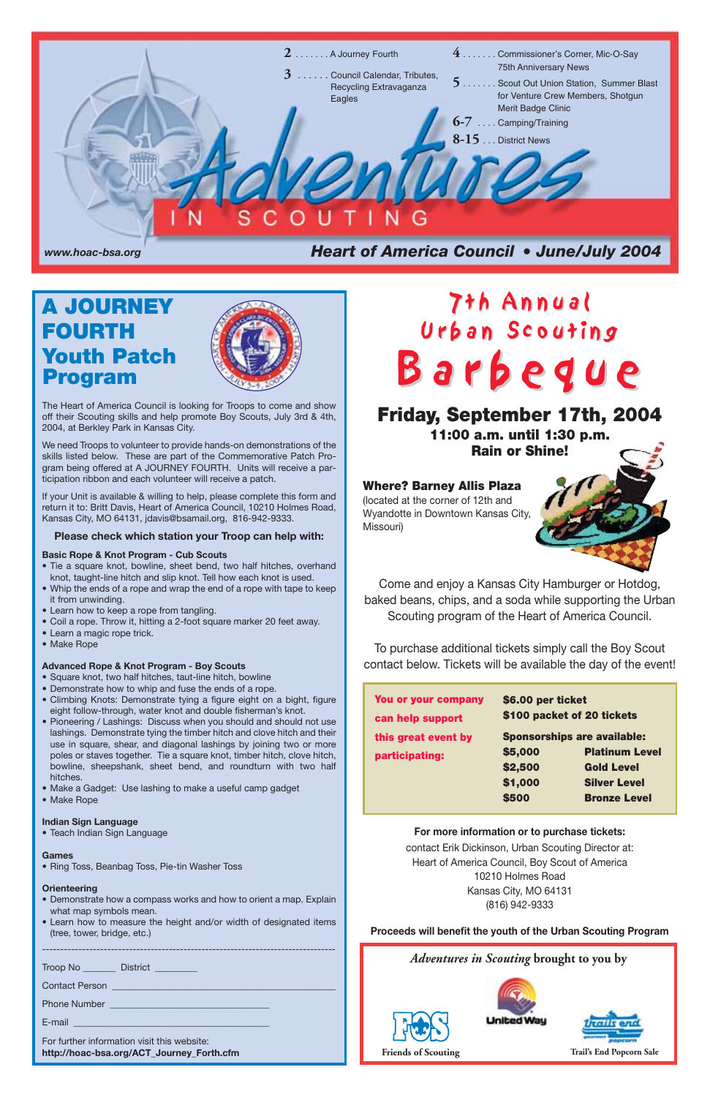*Adventures in Scouting* **brought to you by**







**Friends of Scouting Trail's End Popcorn Sale**

The Heart of America Council is looking for Troops to come and show off their Scouting skills and help promote Boy Scouts, July 3rd & 4th, 2004, at Berkley Park in Kansas City.

We need Troops to volunteer to provide hands-on demonstrations of the skills listed below. These are part of the Commemorative Patch Program being offered at A JOURNEY FOURTH. Units will receive a participation ribbon and each volunteer will receive a patch.

If your Unit is available & willing to help, please complete this form and return it to: Britt Davis, Heart of America Council, 10210 Holmes Road, Kansas City, MO 64131, jdavis@bsamail.org, 816-942-9333.

#### **Please check which station your Troop can help with:**

#### **Basic Rope & Knot Program - Cub Scouts**

- Tie a square knot, bowline, sheet bend, two half hitches, overhand knot, taught-line hitch and slip knot. Tell how each knot is used.
- Whip the ends of a rope and wrap the end of a rope with tape to keep it from unwinding.
- Learn how to keep a rope from tangling.
- Coil a rope. Throw it, hitting a 2-foot square marker 20 feet away.
- Learn a magic rope trick.
- Make Rope

#### **Advanced Rope & Knot Program - Boy Scouts**

- Square knot, two half hitches, taut-line hitch, bowline
- Demonstrate how to whip and fuse the ends of a rope.
- Climbing Knots: Demonstrate tying a figure eight on a bight, figure eight follow-through, water knot and double fisherman's knot.
- Pioneering / Lashings: Discuss when you should and should not use lashings. Demonstrate tying the timber hitch and clove hitch and their use in square, shear, and diagonal lashings by joining two or more poles or staves together. Tie a square knot, timber hitch, clove hitch, bowline, sheepshank, sheet bend, and roundturn with two half hitches.
- Make a Gadget: Use lashing to make a useful camp gadget
- Make Rope

# 7th Annual<br>Urban Scouting Barbegue

# Friday, September 17th, 2004

#### **Indian Sign Language**

• Teach Indian Sign Language

#### **Games**



• Ring Toss, Beanbag Toss, Pie-tin Washer Toss

#### **Orienteering**

- Demonstrate how a compass works and how to orient a map. Explain what map symbols mean.
- Learn how to measure the height and/or width of designated items (tree, tower, bridge, etc.)

---------------------------------------------------------------------------------

Troop No \_\_\_\_\_\_\_ District \_\_\_\_\_\_\_\_\_

Contact Person \_\_\_\_\_\_\_\_\_\_\_\_\_\_\_\_\_\_\_\_\_\_\_\_\_\_\_\_\_\_\_\_\_\_\_\_\_\_\_\_\_\_\_\_\_\_\_\_

Phone Number

E-mail

For further information visit this website: **http://hoac-bsa.org/ACT\_Journey\_Forth.cfm**

# **A JOURNEY FOURTH Youth Patch Program**



**11:00 a.m. until 1:30 p.m. Rain or Shine!**

#### **Where? Barney Allis Plaza**

(located at the corner of 12th and Wyandotte in Downtown Kansas City, Missouri)

Come and enjoy a Kansas City Hamburger or Hotdog, baked beans, chips, and a soda while supporting the Urban Scouting program of the Heart of America Council.

To purchase additional tickets simply call the Boy Scout contact below. Tickets will be available the day of the event!

> **For more information or to purchase tickets:** contact Erik Dickinson, Urban Scouting Director at: Heart of America Council, Boy Scout of America 10210 Holmes Road Kansas City, MO 64131 (816) 942-9333

#### **Proceeds will benefit the youth of the Urban Scouting Program**

| You or your company | \$6.00 per ticket                  |                     |  |
|---------------------|------------------------------------|---------------------|--|
| can help support    | \$100 packet of 20 tickets         |                     |  |
| this great event by | <b>Sponsorships are available:</b> |                     |  |
| participating:      | \$5,000<br><b>Platinum Level</b>   |                     |  |
|                     | \$2,500                            | <b>Gold Level</b>   |  |
|                     | \$1,000                            | <b>Silver Level</b> |  |
|                     | \$500                              | <b>Bronze Level</b> |  |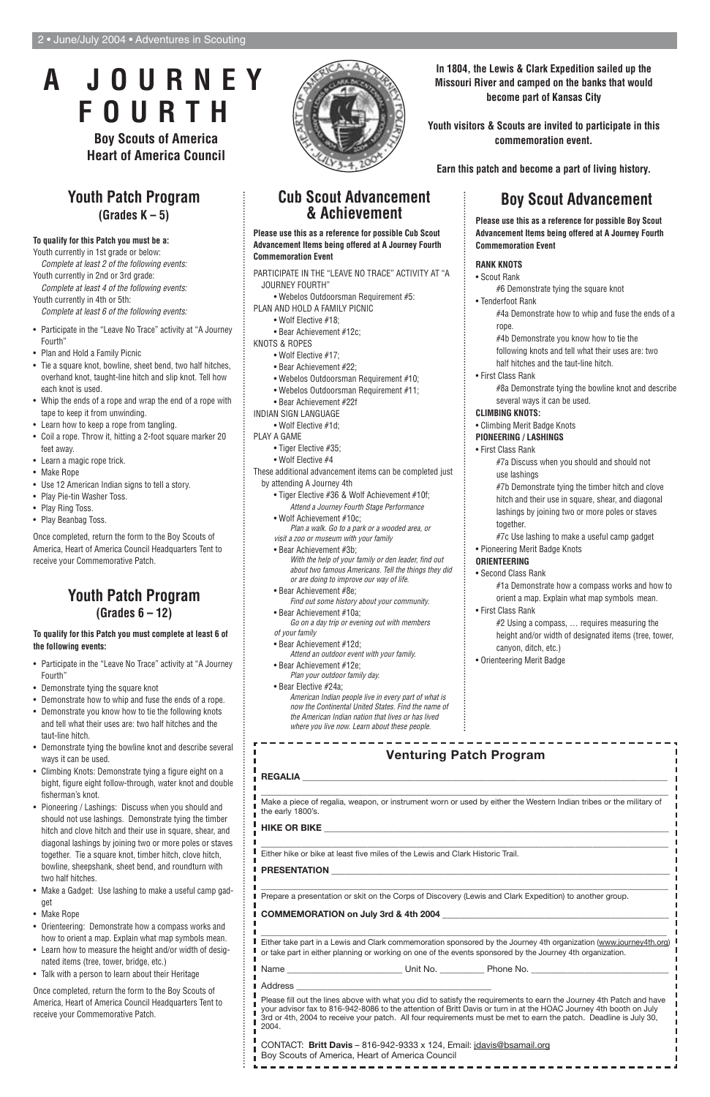# **Youth Patch Program (Grades K – 5)**

#### **To qualify for this Patch you must be a:**

Youth currently in 1st grade or below: Complete at least 2 of the following events:

Youth currently in 2nd or 3rd grade: Complete at least 4 of the following events: Youth currently in 4th or 5th:

Complete at least 6 of the following events:

- Participate in the "Leave No Trace" activity at "A Journey Fourth"
- Plan and Hold a Family Picnic
- Tie a square knot, bowline, sheet bend, two half hitches, overhand knot, taught-line hitch and slip knot. Tell how each knot is used.
- Whip the ends of a rope and wrap the end of a rope with tape to keep it from unwinding.
- Learn how to keep a rope from tangling.
- Coil a rope. Throw it, hitting a 2-foot square marker 20 feet away.
- Learn a magic rope trick.
- Make Rope
- Use 12 American Indian signs to tell a story.
- Play Pie-tin Washer Toss.
- Play Ring Toss.
- Play Beanbag Toss.

Once completed, return the form to the Boy Scouts of America, Heart of America Council Headquarters Tent to receive your Commemorative Patch.

# **Boy Scout Advancement**

**Please use this as a reference for possible Boy Scout Advancement Items being offered at A Journey Fourth Commemoration Event**

#### **RANK KNOTS**

• Scout Rank

#6 Demonstrate tying the square knot

- Tenderfoot Rank
	- #4a Demonstrate how to whip and fuse the ends of a rope.
	- #4b Demonstrate you know how to tie the
	- following knots and tell what their uses are: two half hitches and the taut-line hitch.
- First Class Rank
	- #8a Demonstrate tying the bowline knot and describe several ways it can be used.
- **CLIMBING KNOTS:**
- Climbing Merit Badge Knots
- **PIONEERING / LASHINGS**
	- First Class Rank
		- #7a Discuss when you should and should not use lashings
		- #7b Demonstrate tying the timber hitch and clove hitch and their use in square, shear, and diagonal lashings by joining two or more poles or staves together.
		- #7c Use lashing to make a useful camp gadget
- Pioneering Merit Badge Knots

#### **ORIENTEERING**

• Second Class Rank

#1a Demonstrate how a compass works and how to orient a map. Explain what map symbols mean.

• First Class Rank

#2 Using a compass, … requires measuring the height and/or width of designated items (tree, tower, canyon, ditch, etc.)

• Orienteering Merit Badge

#### **Cub Scout Advancement & Achievement**

**Please use this as a reference for possible Cub Scout Advancement Items being offered at A Journey Fourth Commemoration Event**

PARTICIPATE IN THE "LEAVE NO TRACE" ACTIVITY AT "A JOURNEY FOURTH"

- Webelos Outdoorsman Requirement #5: PLAN AND HOLD A FAMILY PICNIC
	- Wolf Elective #18;
	- Bear Achievement #12c;
- KNOTS & ROPES
	- Wolf Elective #17;
	- Bear Achievement #22;
	- Webelos Outdoorsman Requirement #10;
	- Webelos Outdoorsman Requirement #11;
	- Bear Achievement #22f
- INDIAN SIGN LANGUAGE
	- Wolf Elective #1d;
- PLAY A GAME
	- Tiger Elective #35;
	- Wolf Elective #4

These additional advancement items can be completed just by attending A Journey 4th

- Tiger Elective #36 & Wolf Achievement #10f; Attend a Journey Fourth Stage Performance
- Wolf Achievement #10c; Plan a walk. Go to a park or a wooded area, or visit a zoo or museum with your family
- Bear Achievement #3b;
	- With the help of your family or den leader, find out about two famous Americans. Tell the things they did or are doing to improve our way of life.
- Bear Achievement #8e;
- Find out some history about your community. • Bear Achievement #10a;
- Go on a day trip or evening out with members of your family
- Bear Achievement #12d;
- Attend an outdoor event with your family. • Bear Achievement #12e;
- Plan your outdoor family day.
- Bear Elective #24a; American Indian people live in every part of what is now the Continental United States. Find the name of the American Indian nation that lives or has lived where you live now. Learn about these people.

# **Youth Patch Program (Grades 6 – 12)**

#### **To qualify for this Patch you must complete at least 6 of the following events:**

- Participate in the "Leave No Trace" activity at "A Journey Fourth"
- Demonstrate tying the square knot
- Demonstrate how to whip and fuse the ends of a rope.
- Demonstrate you know how to tie the following knots and tell what their uses are: two half hitches and the taut-line hitch.
- Demonstrate tying the bowline knot and describe several ways it can be used.
- Climbing Knots: Demonstrate tying a figure eight on a bight, figure eight follow-through, water knot and double fisherman's knot.
- Pioneering / Lashings: Discuss when you should and should not use lashings. Demonstrate tying the timber hitch and clove hitch and their use in square, shear, and diagonal lashings by joining two or more poles or staves together. Tie a square knot, timber hitch, clove hitch, bowline, sheepshank, sheet bend, and roundturn with two half hitches.



- Make a Gadget: Use lashing to make a useful camp gadget
- Make Rope
- Orienteering: Demonstrate how a compass works and how to orient a map. Explain what map symbols mean.
- Learn how to measure the height and/or width of designated items (tree, tower, bridge, etc.)
- Talk with a person to learn about their Heritage

Once completed, return the form to the Boy Scouts of America, Heart of America Council Headquarters Tent to receive your Commemorative Patch.

# **A JOURNEY FOURTH**

**Boy Scouts of America Heart of America Council** **In 1804, the Lewis & Clark Expedition sailed up the Missouri River and camped on the banks that would become part of Kansas City**

**Youth visitors & Scouts are invited to participate in this commemoration event.**

**Earn this patch and become a part of living history.**

#### **Venturing Patch Program**

**REGALIA** \_\_\_\_\_\_\_\_\_\_\_\_\_\_\_\_\_\_\_\_\_\_\_\_\_\_\_\_\_\_\_\_\_\_\_\_\_\_\_\_\_\_\_\_\_\_\_\_\_\_\_\_\_\_\_\_\_\_\_\_\_\_\_\_\_\_\_\_\_\_\_\_\_\_\_\_\_\_\_\_\_\_

ш

\_\_\_\_\_\_\_\_\_\_\_\_\_\_\_\_\_\_\_\_\_\_\_\_\_\_\_\_\_\_\_\_\_\_\_\_\_\_\_\_\_\_\_\_\_\_\_\_\_\_\_\_\_\_\_\_\_\_\_\_\_\_\_\_\_\_\_\_\_\_\_\_\_\_\_\_\_\_\_\_\_\_\_\_\_\_\_\_\_\_\_ Make a piece of regalia, weapon, or instrument worn or used by either the Western Indian tribes or the military of

| <b>HIKE OR BIKE</b>                                                            |                                                                                                                                                                                                                                                                                                                                                                |
|--------------------------------------------------------------------------------|----------------------------------------------------------------------------------------------------------------------------------------------------------------------------------------------------------------------------------------------------------------------------------------------------------------------------------------------------------------|
| Either hike or bike at least five miles of the Lewis and Clark Historic Trail. |                                                                                                                                                                                                                                                                                                                                                                |
| <b>PRESENTATION</b>                                                            |                                                                                                                                                                                                                                                                                                                                                                |
|                                                                                | Prepare a presentation or skit on the Corps of Discovery (Lewis and Clark Expedition) to another group.                                                                                                                                                                                                                                                        |
|                                                                                |                                                                                                                                                                                                                                                                                                                                                                |
|                                                                                | Either take part in a Lewis and Clark commemoration sponsored by the Journey 4th organization (www.journey4th.org)<br>or take part in either planning or working on one of the events sponsored by the Journey 4th organization.                                                                                                                               |
|                                                                                |                                                                                                                                                                                                                                                                                                                                                                |
|                                                                                |                                                                                                                                                                                                                                                                                                                                                                |
|                                                                                |                                                                                                                                                                                                                                                                                                                                                                |
| 2004.                                                                          | Please fill out the lines above with what you did to satisfy the requirements to earn the Journey 4th Patch and have<br>your advisor fax to 816-942-8086 to the attention of Britt Davis or turn in at the HOAC Journey 4th booth on July<br>3rd or 4th, 2004 to receive your patch. All four requirements must be met to earn the patch. Deadline is July 30, |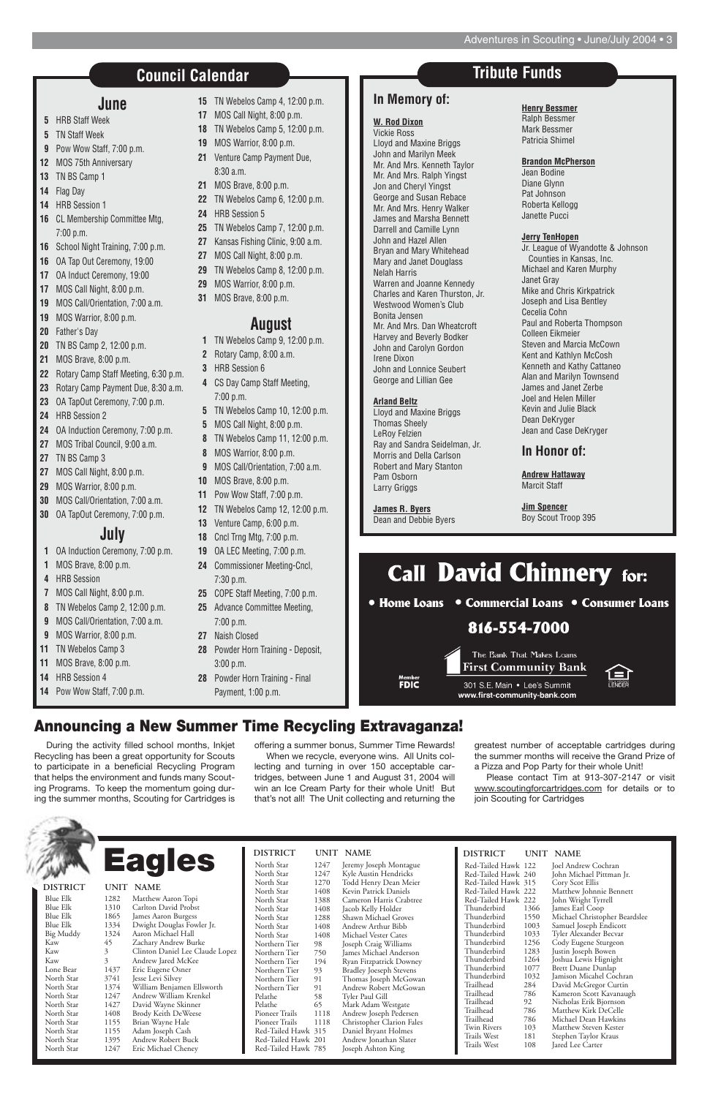| <b>DISTRICT</b>     |      | UNIT NAME                      | <b>DISTRICT</b>            |            | UNIT NAME            |
|---------------------|------|--------------------------------|----------------------------|------------|----------------------|
| North Star          | 1247 | Jeremy Joseph Montague         | Red-Tailed Hawk 122        |            | Joel Andr            |
| North Star          | 1247 | Kyle Austin Hendricks          | Red-Tailed Hawk 240        |            | John Mic             |
| North Star          | 1270 | Todd Henry Dean Meier          | Red-Tailed Hawk 315        |            | Cory Sco             |
| North Star          | 1408 | Kevin Patrick Daniels          | Red-Tailed Hawk 222        |            | Matthew              |
| North Star          | 1388 | Cameron Harris Crabtree        | Red-Tailed Hawk 222        |            | John Wri             |
| North Star          | 1408 | Jacob Kelly Holder             | Thunderbird                | 1366       | James Ear            |
| North Star          | 1288 | Shawn Michael Groves           | Thunderbird                | 1550       | Michael (            |
| North Star          | 1408 | Andrew Arthur Bibb             | Thunderbird                | 1003       | Samuel Jo            |
| North Star          | 1408 | Michael Vester Cates           | Thunderbird                | 1033       | Tyler Ale:           |
| Northern Tier       | 98   | Joseph Craig Williams          | Thunderbird                | 1256       | Cody Eus             |
| Northern Tier       | 750  | James Michael Anderson         | Thunderbird                | 1283       | Justin Jos           |
| Northern Tier       | 194  | Ryan Fitzpatrick Downey        | Thunderbird                | 1264       | Joshua Le            |
| Northern Tier       | 93   | <b>Bradley Joeseph Stevens</b> | Thunderbird                | 1077       | Brett Dua            |
| Northern Tier       | 91   | Thomas Joseph McGowan          | Thunderbird                | 1032       | Jamison l            |
| Northern Tier       | 91   | Andrew Robert McGowan          | Trailhead                  | 284        | David M              |
| Pelathe             | 58   | Tyler Paul Gill                | Trailhead                  | 786        | Kameron              |
| Pelathe             | 65   | Mark Adam Westgate             | Trailhead                  | 92         | Nicholas             |
| Pioneer Trails      | 1118 | Andrew Joseph Pedersen         | Trailhead                  | 786        | Matthew              |
| Pioneer Trails      | 1118 | Christopher Clarion Fales      | Trailhead                  | 786        | Michael I            |
| Red-Tailed Hawk 315 |      | Daniel Bryant Holmes           | Twin Rivers                | 103        | Matthew              |
| Red-Tailed Hawk 201 |      | Andrew Jonathan Slater         | Trails West<br>Trails West | 181<br>108 | Stephen <sup>7</sup> |
| Red-Tailed Hawk 785 |      | Joseph Ashton King             |                            |            | Jared Lee            |

#### Red-Tailed Hawk 122 Joel Andrew Cochran Red-Tailed Hawk 315 Red-Tailed Hawk 222 Matthew Johnnie Bennett Red-Tailed Hawk 222<br>Thunderbird 1366 Thunderbird 1366 James Earl Coop Thunderbird 1550 Michael Christopher Beardslee Thunderbird 1003 Samuel Joseph Endicott Thunderbird 1256 Cody Eugene Sturgeon Thunderbird 1283 Justin Joseph Bowen Thunderbird 1264 Joshua Lewis Hignight Thunderbird 1077 Brett Duane Dunlap<br>Thunderbird 1032 Iamison Micahel Coc Thunderbird 1032 Jamison Micahel Cochran Trailhead 284 David McGregor Curtin<br>Trailhead 786 Kameron Scott Kavanaug Trailhead 786 Kameron Scott Kavanaugh<br>Trailhead 92 Nicholas Erik Bjornson Trailhead 92 Nicholas Erik Bjornson Trailhead 786 Matthew Kirk DeCelle<br>Trailhead 786 Michael Dean Hawkins Trailhead 786 Michael Dean Hawkins Twin Rivers 103 Matthew Steven Kester Trails West 181 Stephen Taylor Kraus<br>Trails West 108 Jared Lee Carter

John Michael Pittman Jr.<br>Corv Scot Ellis Tyler Alexander Becvar 108 Jared Lee Carter

Blue Elk 1282 Matthew Aaron Topi Blue Elk 1310 Carlton David Probst<br>Blue Elk 1865 James Aaron Burgess Blue Elk 1865 James Aaron Burgess<br>Blue Elk 1334 Dwight Douglas Fow Dwight Douglas Fowler Jr. Big Muddy 1324 Aaron Michael Hall Kaw 45 Zachary Andrew Burke Kaw 3 Clinton Daniel Lee Claude Lopez Kaw 3 Andrew Jared McKee Lone Bear 1437 Eric Eugene Osner<br>North Star 3741 Jesse Levi Silvey North Star 3741 Jesse Levi Silvey North Star 1374 William Benjamen Ellsworth<br>North Star 1247 Andrew William Krenkel Andrew William Krenkel North Star 1427 David Wayne Skinner North Star 1408 Brody Keith DeWeese North Star 1155 Brian Wayne Hale North Star 1155 Adam Joseph Cash North Star 1395 Andrew Robert Buck Eric Michael Cheney **DISTRICT UNIT NAME Eagles**

#### **June**

- **5** HRB Staff Week
- **5** TN Staff Week
- **9** Pow Wow Staff, 7:00 p.m.
- **12** MOS 75th Anniversary
- **13** TN BS Camp 1
- **14** Flag Day
- **14** HRB Session 1
- **16** CL Membership Committee Mtg, 7:00 p.m.
- **16** School Night Training, 7:00 p.m.
- **16** OA Tap Out Ceremony, 19:00
- **17** OA Induct Ceremony, 19:00
- **17** MOS Call Night, 8:00 p.m.
- **19** MOS Call/Orientation, 7:00 a.m.
- **19** MOS Warrior, 8:00 p.m.
- **20** Father's Day
- **20** TN BS Camp 2, 12:00 p.m.
- **21** MOS Brave, 8:00 p.m.
- **22** Rotary Camp Staff Meeting, 6:30 p.m.
- **23** Rotary Camp Payment Due, 8:30 a.m.
- **23** OA TapOut Ceremony, 7:00 p.m.
- **24** HRB Session 2
- **24** OA Induction Ceremony, 7:00 p.m.
- **27** MOS Tribal Council, 9:00 a.m.
- **27** TN BS Camp 3
- **27** MOS Call Night, 8:00 p.m.
- **29** MOS Warrior, 8:00 p.m.
- **30** MOS Call/Orientation, 7:00 a.m.
- **30** OA TapOut Ceremony, 7:00 p.m.

## **July**

- **1** OA Induction Ceremony, 7:00 p.m.
- **1** MOS Brave, 8:00 p.m.
- **4** HRB Session
- **7** MOS Call Night, 8:00 p.m.
- **8** TN Webelos Camp 2, 12:00 p.m.
- **9** MOS Call/Orientation, 7:00 a.m.
- **9** MOS Warrior, 8:00 p.m.
- **11** TN Webelos Camp 3
- **11** MOS Brave, 8:00 p.m.
- **14** HRB Session 4
- **14** Pow Wow Staff, 7:00 p.m.
- **15** TN Webelos Camp 4, 12:00 p.m.
- **17** MOS Call Night, 8:00 p.m.
- **18** TN Webelos Camp 5, 12:00 p.m.
- **19** MOS Warrior, 8:00 p.m.
- **21** Venture Camp Payment Due, 8:30 a.m.
- **21** MOS Brave, 8:00 p.m.
- **22** TN Webelos Camp 6, 12:00 p.m.
- **24** HRB Session 5
- **25** TN Webelos Camp 7, 12:00 p.m.
- **27** Kansas Fishing Clinic, 9:00 a.m.
- **27** MOS Call Night, 8:00 p.m.
- **29** TN Webelos Camp 8, 12:00 p.m.
- **29** MOS Warrior, 8:00 p.m.
- **31** MOS Brave, 8:00 p.m.

# **August**

- **1** TN Webelos Camp 9, 12:00 p.m.
- **2** Rotary Camp, 8:00 a.m.
- **3** HRB Session 6
- **4** CS Day Camp Staff Meeting, 7:00 p.m.
- **5** TN Webelos Camp 10, 12:00 p.m.
- **5** MOS Call Night, 8:00 p.m.
- **8** TN Webelos Camp 11, 12:00 p.m.
- **8** MOS Warrior, 8:00 p.m.
- **9** MOS Call/Orientation, 7:00 a.m.
- **10** MOS Brave, 8:00 p.m.
- **11** Pow Wow Staff, 7:00 p.m.
- **12** TN Webelos Camp 12, 12:00 p.m.
- **13** Venture Camp, 6:00 p.m.
- **18** Cncl Trng Mtg, 7:00 p.m.
- **19** OA LEC Meeting, 7:00 p.m.
- **24** Commissioner Meeting-Cncl, 7:30 p.m.
- **25** COPE Staff Meeting, 7:00 p.m.
- **25** Advance Committee Meeting, 7:00 p.m.
- **27** Naish Closed
- **28** Powder Horn Training Deposit, 3:00 p.m.
- **28** Powder Horn Training Final Payment, 1:00 p.m.

# **Council Calendar**

#### **In Memory of:**

#### **W. Rod Dixon**

Vickie Ross Lloyd and Maxine Briggs John and Marilyn Meek Mr. And Mrs. Kenneth Taylor Mr. And Mrs. Ralph Yingst Jon and Cheryl Yingst George and Susan Rebace Mr. And Mrs. Henry Walker James and Marsha Bennett Darrell and Camille Lynn John and Hazel Allen Bryan and Mary Whitehead Mary and Janet Douglass Nelah Harris Warren and Joanne Kennedy Charles and Karen Thurston, Jr. Westwood Women's Club Bonita Jensen Mr. And Mrs. Dan Wheatcroft Harvey and Beverly Bodker John and Carolyn Gordon Irene Dixon John and Lonnice Seubert George and Lillian Gee

#### **Arland Beltz**

Lloyd and Maxine Briggs Thomas Sheely LeRoy Felzien Ray and Sandra Seidelman, Jr. Morris and Della Carlson Robert and Mary Stanton Pam Osborn Larry Griggs

**James R. Byers** Dean and Debbie Byers **Henry Bessmer** Ralph Bessmer Mark Bessmer Patricia Shimel

#### **Brandon McPherson**

Jean Bodine Diane Glynn Pat Johnson Roberta Kellogg Janette Pucci

#### **Jerry TenHopen**

Jr. League of Wyandotte & Johnson Counties in Kansas, Inc. Michael and Karen Murphy Janet Gray Mike and Chris Kirkpatrick Joseph and Lisa Bentley Cecelia Cohn Paul and Roberta Thompson Colleen Eikmeier Steven and Marcia McCown Kent and Kathlyn McCosh Kenneth and Kathy Cattaneo Alan and Marilyn Townsend James and Janet Zerbe Joel and Helen Miller Kevin and Julie Black Dean DeKryger Jean and Case DeKryger

#### **In Honor of:**

**Andrew Hattaway** Marcit Staff

**Jim Spencer** Boy Scout Troop 395

# **Call David Chinnery for:** • Home Loans • Commercial Loans • Consumer Loans 816-554-7000 The Bank That Makes Loans **First Community Bank** member<br>FDIC 301 S.E. Main • Lee's Summit

www.first-community-bank.com

# **Tribute Funds**

During the activity filled school months, Inkjet Recycling has been a great opportunity for Scouts to participate in a beneficial Recycling Program that helps the environment and funds many Scouting Programs. To keep the momentum going during the summer months, Scouting for Cartridges is offering a summer bonus, Summer Time Rewards!

When we recycle, everyone wins. All Units collecting and turning in over 150 acceptable cartridges, between June 1 and August 31, 2004 will win an Ice Cream Party for their whole Unit! But that's not all! The Unit collecting and returning the

greatest number of acceptable cartridges during the summer months will receive the Grand Prize of a Pizza and Pop Party for their whole Unit!

Please contact Tim at 913-307-2147 or visit www.scoutingforcartridges.com for details or to



join Scouting for Cartridges

# **Announcing a New Summer Time Recycling Extravaganza!**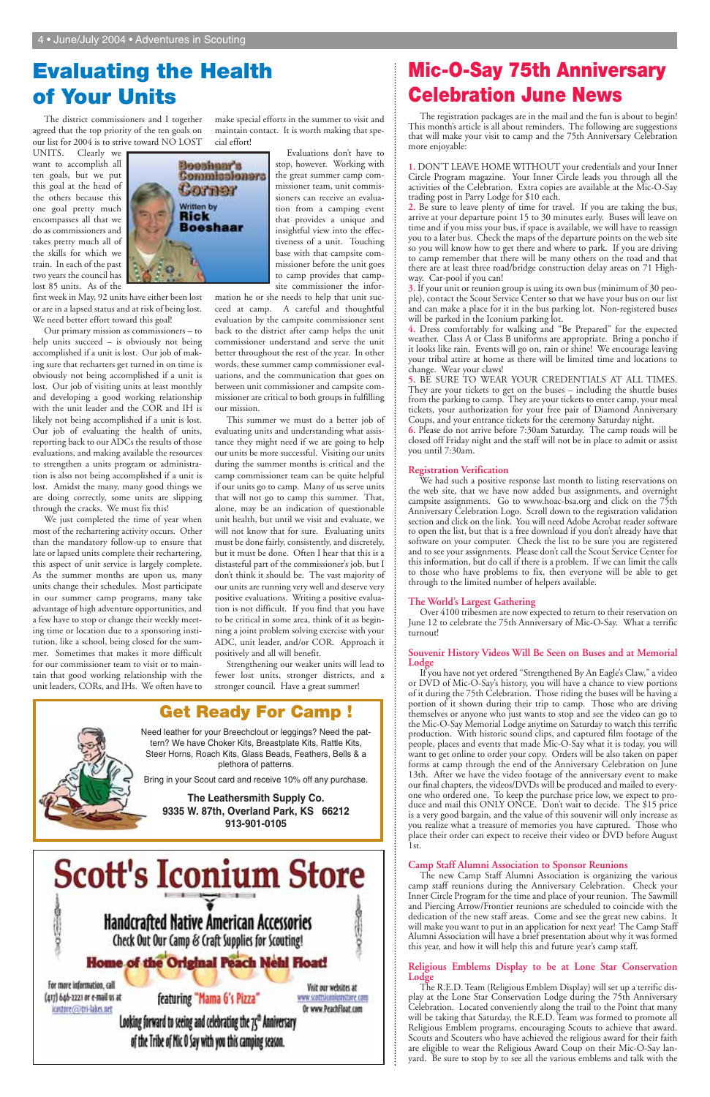# **Evaluating the Health of Your Units**

The district commissioners and I together agreed that the top priority of the ten goals on our list for 2004 is to strive toward NO LOST

UNITS. Clearly we want to accomplish all ten goals, but we put this goal at the head of the others because this one goal pretty much encompasses all that we do as commissioners and takes pretty much all of the skills for which we train. In each of the past two years the council has lost 85 units. As of the



Our primary mission as commissioners – to help units succeed – is obviously not being accomplished if a unit is lost. Our job of making sure that recharters get turned in on time is obviously not being accomplished if a unit is lost. Our job of visiting units at least monthly and developing a good working relationship with the unit leader and the COR and IH is likely not being accomplished if a unit is lost. Our job of evaluating the health of units, reporting back to our ADCs the results of those evaluations, and making available the resources to strengthen a units program or administration is also not being accomplished if a unit is lost. Amidst the many, many good things we are doing correctly, some units are slipping through the cracks. We must fix this!

We just completed the time of year when most of the rechartering activity occurs. Other than the mandatory follow-up to ensure that late or lapsed units complete their rechartering, this aspect of unit service is largely complete. As the summer months are upon us, many units change their schedules. Most participate in our summer camp programs, many take advantage of high adventure opportunities, and a few have to stop or change their weekly meeting time or location due to a sponsoring institution, like a school, being closed for the summer. Sometimes that makes it more difficult for our commissioner team to visit or to maintain that good working relationship with the unit leaders, CORs, and IHs. We often have to



make special efforts in the summer to visit and maintain contact. It is worth making that special effort!

> Evaluations don't have to stop, however. Working with the great summer camp commissioner team, unit commissioners can receive an evaluation from a camping event that provides a unique and insightful view into the effectiveness of a unit. Touching base with that campsite commissioner before the unit goes to camp provides that campsite commissioner the infor-

mation he or she needs to help that unit succeed at camp. A careful and thoughtful evaluation by the campsite commissioner sent back to the district after camp helps the unit commissioner understand and serve the unit better throughout the rest of the year. In other words, these summer camp commissioner evaluations, and the communication that goes on between unit commissioner and campsite commissioner are critical to both groups in fulfilling our mission.

This summer we must do a better job of evaluating units and understanding what assistance they might need if we are going to help our units be more successful. Visiting our units during the summer months is critical and the camp commissioner team can be quite helpful if our units go to camp. Many of us serve units that will not go to camp this summer. That, alone, may be an indication of questionable unit health, but until we visit and evaluate, we will not know that for sure. Evaluating units must be done fairly, consistently, and discretely, but it must be done. Often I hear that this is a distasteful part of the commissioner's job, but I don't think it should be. The vast majority of our units are running very well and deserve very positive evaluations. Writing a positive evaluation is not difficult. If you find that you have to be critical in some area, think of it as beginning a joint problem solving exercise with your ADC, unit leader, and/or COR. Approach it positively and all will benefit.

Strengthening our weaker units will lead to fewer lost units, stronger districts, and a stronger council. Have a great summer!

# **Mic-O-Say 75th Anniversary Celebration June News**

The registration packages are in the mail and the fun is about to begin! This month's article is all about reminders. The following are suggestions that will make your visit to camp and the 75th Anniversary Celebration more enjoyable:

**1.** DON'T LEAVE HOME WITHOUT your credentials and your Inner Circle Program magazine. Your Inner Circle leads you through all the activities of the Celebration. Extra copies are available at the Mic-O-Say trading post in Parry Lodge for \$10 each.

**2.** Be sure to leave plenty of time for travel. If you are taking the bus, arrive at your departure point 15 to 30 minutes early. Buses will leave on time and if you miss your bus, if space is available, we will have to reassign you to a later bus. Check the maps of the departure points on the web site so you will know how to get there and where to park. If you are driving to camp remember that there will be many others on the road and that there are at least three road/bridge construction delay areas on 71 Highway. Car-pool if you can!

**3.** If your unit or reunion group is using its own bus (minimum of 30 people), contact the Scout Service Center so that we have your bus on our list and can make a place for it in the bus parking lot. Non-registered buses will be parked in the Iconium parking lot.

**4.** Dress comfortably for walking and "Be Prepared" for the expected weather. Class A or Class B uniforms are appropriate. Bring a poncho if it looks like rain. Events will go on, rain or shine! We encourage leaving your tribal attire at home as there will be limited time and locations to change. Wear your claws!

**5.** BE SURE TO WEAR YOUR CREDENTIALS AT ALL TIMES. They are your tickets to get on the buses – including the shuttle buses from the parking to camp. They are your tickets to enter camp, your meal tickets, your authorization for your free pair of Diamond Anniversary Coups, and your entrance tickets for the ceremony Saturday night.

**6.** Please do not arrive before 7:30am Saturday. The camp roads will be closed off Friday night and the staff will not be in place to admit or assist you until 7:30am.

#### **Registration Verification**

We had such a positive response last month to listing reservations on the web site, that we have now added bus assignments, and overnight campsite assignments. Go to www.hoac-bsa.org and click on the 75th Anniversary Celebration Logo. Scroll down to the registration validation section and click on the link. You will need Adobe Acrobat reader software to open the list, but that is a free download if you don't already have that software on your computer. Check the list to be sure you are registered and to see your assignments. Please don't call the Scout Service Center for this information, but do call if there is a problem. If we can limit the calls to those who have problems to fix, then everyone will be able to get through to the limited number of helpers available.

#### **The World's Largest Gathering**

Over 4100 tribesmen are now expected to return to their reservation on June 12 to celebrate the 75th Anniversary of Mic-O-Say. What a terrific turnout!

#### **Souvenir History Videos Will Be Seen on Buses and at Memorial Lodge**

If you have not yet ordered "Strengthened By An Eagle's Claw," a video or DVD of Mic-O-Say's history, you will have a chance to view portions of it during the 75th Celebration. Those riding the buses will be having a portion of it shown during their trip to camp. Those who are driving themselves or anyone who just wants to stop and see the video can go to the Mic-O-Say Memorial Lodge anytime on Saturday to watch this terrific production. With historic sound clips, and captured film footage of the people, places and events that made Mic-O-Say what it is today, you will want to get online to order your copy. Orders will be also taken on paper forms at camp through the end of the Anniversary Celebration on June 13th. After we have the video footage of the anniversary event to make our final chapters, the videos/DVDs will be produced and mailed to everyone who ordered one. To keep the purchase price low, we expect to produce and mail this ONLY ONCE. Don't wait to decide. The \$15 price is a very good bargain, and the value of this souvenir will only increase as you realize what a treasure of memories you have captured. Those who place their order can expect to receive their video or DVD before August 1st.



#### **Camp Staff Alumni Association to Sponsor Reunions**

The new Camp Staff Alumni Association is organizing the various camp staff reunions during the Anniversary Celebration. Check your Inner Circle Program for the time and place of your reunion. The Sawmill and Piercing Arrow/Frontier reunions are scheduled to coincide with the dedication of the new staff areas. Come and see the great new cabins. It will make you want to put in an application for next year! The Camp Staff Alumni Association will have a brief presentation about why it was formed this year, and how it will help this and future year's camp staff.

#### **Religious Emblems Display to be at Lone Star Conservation Lodge**

The R.E.D. Team (Religious Emblem Display) will set up a terrific display at the Lone Star Conservation Lodge during the 75th Anniversary Celebration. Located conveniently along the trail to the Point that many will be taking that Saturday, the R.E.D. Team was formed to promote all Religious Emblem programs, encouraging Scouts to achieve that award. Scouts and Scouters who have achieved the religious award for their faith are eligible to wear the Religious Award Coup on their Mic-O-Say lanyard. Be sure to stop by to see all the various emblems and talk with the

## **Get Ready For Camp !**

Need leather for your Breechclout or leggings? Need the pattern? We have Choker Kits, Breastplate Kits, Rattle Kits, Steer Horns, Roach Kits, Glass Beads, Feathers, Bells & a plethora of patterns.

Bring in your Scout card and receive 10% off any purchase.

#### **The Leathersmith Supply Co.**

#### **9335 W. 87th, Overland Park, KS 66212 913-901-0105**

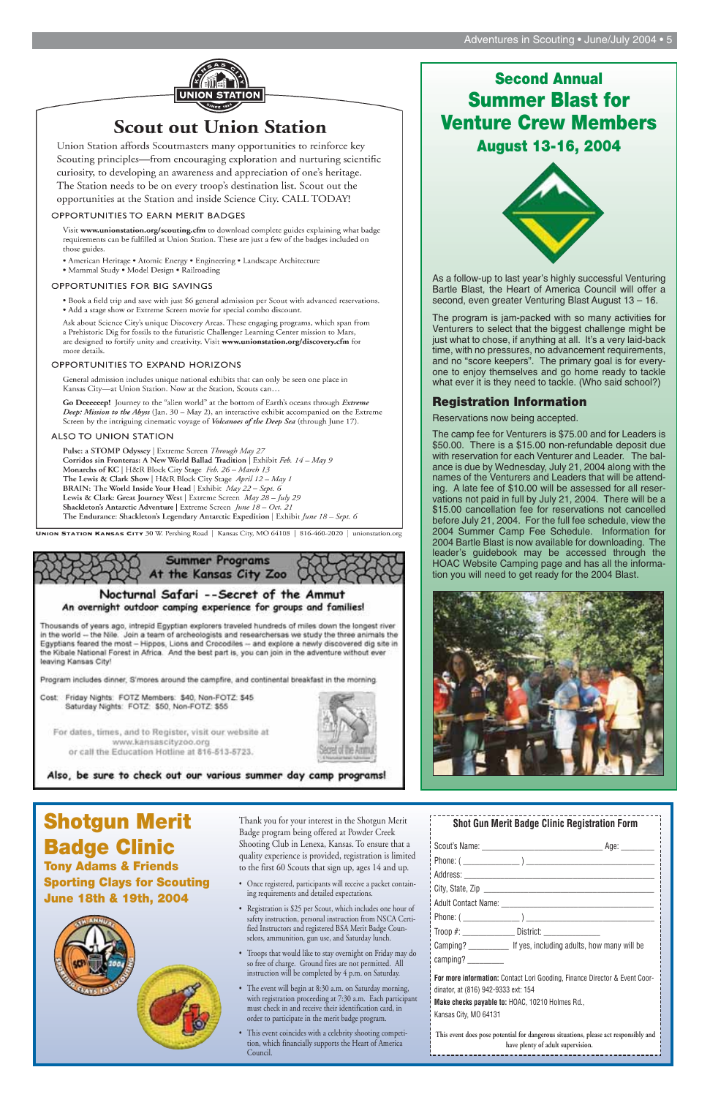#### Adventures in Scouting • June/July 2004 • 5



# **Scout out Union Station**

Union Station affords Scoutmasters many opportunities to reinforce key Scouting principles—from encouraging exploration and nurturing scientific curiosity, to developing an awareness and appreciation of one's heritage. The Station needs to be on every troop's destination list. Scout out the opportunities at the Station and inside Science City. CALL TODAY!

#### **OPPORTUNITIES TO EARN MERIT BADGES**

Visit www.unionstation.org/scouting.cfm to download complete guides explaining what badge requirements can be fulfilled at Union Station. These are just a few of the badges included on those guides.

• American Heritage • Atomic Energy • Engineering • Landscape Architecture · Mammal Study · Model Design · Railroading

#### OPPORTUNITIES FOR BIG SAVINGS

- . Book a field trip and save with just \$6 general admission per Scout with advanced reservations.
- Add a stage show or Extreme Screen movie for special combo discount.

Ask about Science City's unique Discovery Areas. These engaging programs, which span from a Prehistoric Dig for fossils to the futuristic Challenger Learning Center mission to Mars, are designed to fortify unity and creativity. Visit www.unionstation.org/discovery.cfm for more details.

#### OPPORTUNITIES TO EXPAND HORIZONS

General admission includes unique national exhibits that can only be seen one place in Kansas City-at Union Station. Now at the Station, Scouts can...

Go Dececeep! Journey to the "alien world" at the bottom of Earth's oceans through Extreme Deep: Mission to the Abyss (Jan. 30 - May 2), an interactive exhibit accompanied on the Extreme Screen by the intriguing cinematic voyage of Volcanoes of the Deep Sea (through June 17).

#### ALSO TO UNION STATION

Pulse: a STOMP Odyssey | Extreme Screen Through May 27 Corridos sin Fronteras: A New World Ballad Tradition | Exhibit Feb. 14 - May 9 Monarchs of KC | H&R Block City Stage Feb. 26 - March 13 The Lewis & Clark Show | H&R Block City Stage April 12 - May 1 BRAIN: The World Inside Your Head | Exhibit May 22 - Sept. 6 Lewis & Clark: Great Journey West | Extreme Screen May 28 - July 29 Shackleton's Antarctic Adventure | Extreme Screen June 18 - Oct. 21 The Endurance: Shackleton's Legendary Antarctic Expedition | Exhibit June 18 - Sept. 6

UNION STATION KANSAS CITY 30 W. Pershing Road | Kansas City, MO 64108 | 816-460-2020 | unionstation.org



#### Nocturnal Safari --Secret of the Ammut An overnight outdoor camping experience for groups and families!

Thousands of years ago, intrepid Egyptian explorers traveled hundreds of miles down the longest river in the world -- the Nile. Join a team of archeologists and researchersas we study the three animals the Egyptians feared the most - Hippos, Lions and Crocodiles -- and explore a newly discovered dig site in the Kibale National Forest in Africa. And the best part is, you can join in the adventure without ever leaving Kansas City!

Program includes dinner, S'mores around the campfire, and continental breakfast in the morning.

Cost: Friday Nights: FOTZ Members: \$40, Non-FOTZ: \$45 Saturday Nights: FOTZ: \$50, Non-FOTZ: \$55

For dates, times, and to Register, visit our website at www.kansascityzoo.org or call the Education Hotline at 816-513-5723.



Also, be sure to check out our various summer day camp programs!

Thank you for your interest in the Shotgun Merit Badge program being offered at Powder Creek Shooting Club in Lenexa, Kansas. To ensure that a quality experience is provided, registration is limited to the first 60 Scouts that sign up, ages 14 and up.

- Once registered, participants will receive a packet containing requirements and detailed expectations.
- Registration is \$25 per Scout, which includes one hour of safety instruction, personal instruction from NSCA Certified Instructors and registered BSA Merit Badge Counselors, ammunition, gun use, and Saturday lunch.
- Troops that would like to stay overnight on Friday may do so free of charge. Ground fires are not permitted. All instruction will be completed by 4 p.m. on Saturday.
- The event will begin at 8:30 a.m. on Saturday morning, with registration proceeding at 7:30 a.m. Each participant must check in and receive their identification card, in order to participate in the merit badge program.
- This event coincides with a celebrity shooting competition, which financially supports the Heart of America Council.

**Shotgun Merit Badge Clinic Tony Adams & Friends Sporting Clays for Scouting June 18th & 19th, 2004**



# **Second Annual Summer Blast for Venture Crew Members**

**August 13-16, 2004**



As a follow-up to last year's highly successful Venturing Bartle Blast, the Heart of America Council will offer a second, even greater Venturing Blast August 13 – 16.

The program is jam-packed with so many activities for Venturers to select that the biggest challenge might be just what to chose, if anything at all. It's a very laid-back time, with no pressures, no advancement requirements, and no "score keepers". The primary goal is for everyone to enjoy themselves and go home ready to tackle what ever it is they need to tackle. (Who said school?)

#### **Registration Information**

Reservations now being accepted.

The camp fee for Venturers is \$75.00 and for Leaders is \$50.00. There is a \$15.00 non-refundable deposit due with reservation for each Venturer and Leader. The balance is due by Wednesday, July 21, 2004 along with the names of the Venturers and Leaders that will be attending. A late fee of \$10.00 will be assessed for all reservations not paid in full by July 21, 2004. There will be a \$15.00 cancellation fee for reservations not cancelled before July 21, 2004. For the full fee schedule, view the 2004 Summer Camp Fee Schedule. Information for 2004 Bartle Blast is now available for downloading. The leader's guidebook may be accessed through the HOAC Website Camping page and has all the information you will need to get ready for the 2004 Blast.



| <b>Shot Gun Merit Badge Clinic Registration Form</b>                                                                                                                                          |  |  |
|-----------------------------------------------------------------------------------------------------------------------------------------------------------------------------------------------|--|--|
|                                                                                                                                                                                               |  |  |
|                                                                                                                                                                                               |  |  |
|                                                                                                                                                                                               |  |  |
|                                                                                                                                                                                               |  |  |
|                                                                                                                                                                                               |  |  |
|                                                                                                                                                                                               |  |  |
| Troop #: __________________ District: __________________                                                                                                                                      |  |  |
|                                                                                                                                                                                               |  |  |
|                                                                                                                                                                                               |  |  |
| For more information: Contact Lori Gooding, Finance Director & Event Coor-<br>dinator, at (816) 942-9333 ext: 154<br>Make checks payable to: HOAC, 10210 Holmes Rd.,<br>Kansas City, MO 64131 |  |  |
| This event does pose potential for dangerous situations, please act responsibly and<br>have plenty of adult supervision.                                                                      |  |  |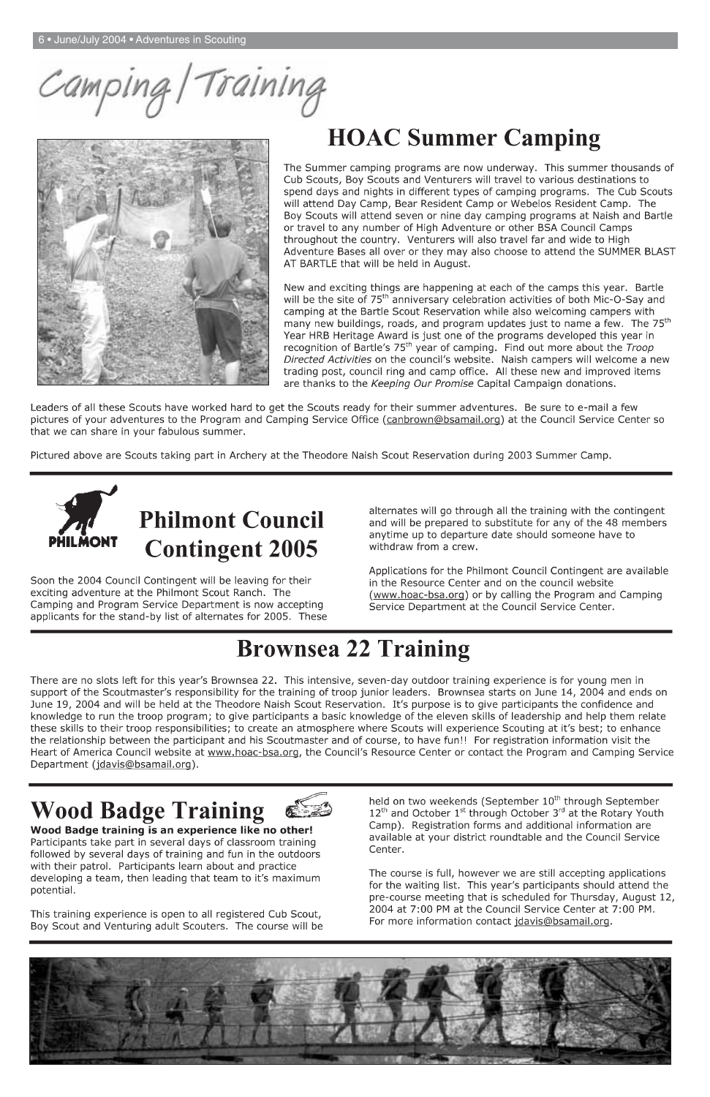Training Camping/



# **HOAC Summer Camping**

The Summer camping programs are now underway. This summer thousands of Cub Scouts, Boy Scouts and Venturers will travel to various destinations to spend days and nights in different types of camping programs. The Cub Scouts will attend Day Camp, Bear Resident Camp or Webelos Resident Camp. The Boy Scouts will attend seven or nine day camping programs at Naish and Bartle or travel to any number of High Adventure or other BSA Council Camps throughout the country. Venturers will also travel far and wide to High Adventure Bases all over or they may also choose to attend the SUMMER BLAST AT BARTLE that will be held in August.

New and exciting things are happening at each of the camps this year. Bartle will be the site of 75<sup>th</sup> anniversary celebration activities of both Mic-O-Say and camping at the Bartle Scout Reservation while also welcoming campers with many new buildings, roads, and program updates just to name a few. The 75<sup>th</sup> Year HRB Heritage Award is just one of the programs developed this year in recognition of Bartle's 75<sup>th</sup> year of camping. Find out more about the *Troop* Directed Activities on the council's website. Naish campers will welcome a new trading post, council ring and camp office. All these new and improved items are thanks to the Keeping Our Promise Capital Campaign donations.

Leaders of all these Scouts have worked hard to get the Scouts ready for their summer adventures. Be sure to e-mail a few pictures of your adventures to the Program and Camping Service Office (canbrown@bsamail.org) at the Council Service Center so that we can share in your fabulous summer.

Pictured above are Scouts taking part in Archery at the Theodore Naish Scout Reservation during 2003 Summer Camp.



Soon the 2004 Council Contingent will be leaving for their exciting adventure at the Philmont Scout Ranch. The Camping and Program Service Department is now accepting applicants for the stand-by list of alternates for 2005. These alternates will go through all the training with the contingent and will be prepared to substitute for any of the 48 members anytime up to departure date should someone have to withdraw from a crew.

Applications for the Philmont Council Contingent are available in the Resource Center and on the council website (www.hoac-bsa.org) or by calling the Program and Camping Service Department at the Council Service Center.

# **Brownsea 22 Training**

There are no slots left for this year's Brownsea 22. This intensive, seven-day outdoor training experience is for young men in support of the Scoutmaster's responsibility for the training of troop junior leaders. Brownsea starts on June 14, 2004 and ends on June 19, 2004 and will be held at the Theodore Naish Scout Reservation. It's purpose is to give participants the confidence and knowledge to run the troop program; to give participants a basic knowledge of the eleven skills of leadership and help them relate these skills to their troop responsibilities; to create an atmosphere where Scouts will experience Scouting at it's best; to enhance the relationship between the participant and his Scoutmaster and of course, to have fun!! For registration information visit the Heart of America Council website at www.hoac-bsa.org, the Council's Resource Center or contact the Program and Camping Service Department (jdavis@bsamail.org).



held on two weekends (September 10<sup>th</sup> through September

# **Wood Badge Training**

#### Wood Badge training is an experience like no other!

Participants take part in several days of classroom training followed by several days of training and fun in the outdoors with their patrol. Participants learn about and practice developing a team, then leading that team to it's maximum potential.

This training experience is open to all registered Cub Scout, Boy Scout and Venturing adult Scouters. The course will be  $12^{th}$  and October  $1^{st}$  through October 3<sup>rd</sup> at the Rotary Youth Camp). Registration forms and additional information are available at your district roundtable and the Council Service Center.

The course is full, however we are still accepting applications for the waiting list. This year's participants should attend the pre-course meeting that is scheduled for Thursday, August 12, 2004 at 7:00 PM at the Council Service Center at 7:00 PM. For more information contact jdavis@bsamail.org.

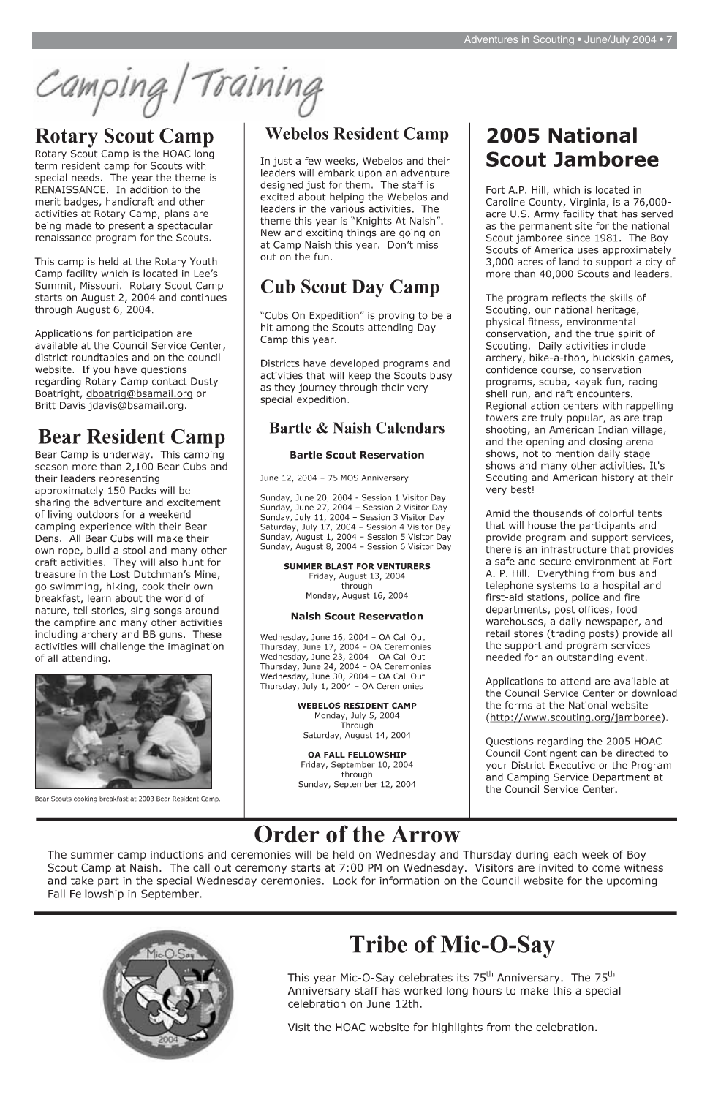Camping/Training

# **Rotary Scout Camp**

Rotary Scout Camp is the HOAC long term resident camp for Scouts with special needs. The year the theme is RENAISSANCE. In addition to the merit badges, handicraft and other activities at Rotary Camp, plans are being made to present a spectacular renaissance program for the Scouts.

This camp is held at the Rotary Youth Camp facility which is located in Lee's Summit, Missouri. Rotary Scout Camp starts on August 2, 2004 and continues through August 6, 2004.

Applications for participation are available at the Council Service Center, district roundtables and on the council website. If you have questions regarding Rotary Camp contact Dusty Boatright, dboatrig@bsamail.org or Britt Davis jdavis@bsamail.org.

# **Bear Resident Camp**

Bear Camp is underway. This camping season more than 2,100 Bear Cubs and their leaders representing approximately 150 Packs will be sharing the adventure and excitement of living outdoors for a weekend camping experience with their Bear Dens. All Bear Cubs will make their own rope, build a stool and many other craft activities. They will also hunt for treasure in the Lost Dutchman's Mine, go swimming, hiking, cook their own breakfast, learn about the world of nature, tell stories, sing songs around the campfire and many other activities including archery and BB guns. These activities will challenge the imagination of all attending.



Bear Scouts cooking breakfast at 2003 Bear Resident Camp.

# **Webelos Resident Camp**

In just a few weeks, Webelos and their leaders will embark upon an adventure designed just for them. The staff is excited about helping the Webelos and leaders in the various activities. The theme this year is "Knights At Naish". New and exciting things are going on at Camp Naish this year. Don't miss out on the fun.

# **Cub Scout Day Camp**

"Cubs On Expedition" is proving to be a hit among the Scouts attending Day Camp this year.

Districts have developed programs and activities that will keep the Scouts busy as they journey through their very special expedition.

#### **Bartle & Naish Calendars**

#### **Bartle Scout Reservation**

June 12, 2004 - 75 MOS Anniversary

Sunday, June 20, 2004 - Session 1 Visitor Day Sunday, June 27, 2004 - Session 2 Visitor Day Sunday, July 11, 2004 - Session 3 Visitor Day Saturday, July 17, 2004 - Session 4 Visitor Day Sunday, August 1, 2004 - Session 5 Visitor Day Sunday, August 8, 2004 - Session 6 Visitor Day

#### **SUMMER BLAST FOR VENTURERS** Friday, August 13, 2004 through Monday, August 16, 2004

#### **Naish Scout Reservation**

Wednesday, June 16, 2004 - OA Call Out Thursday, June 17, 2004 - OA Ceremonies Wednesday, June 23, 2004 - OA Call Out Thursday, June 24, 2004 - OA Ceremonies Wednesday, June 30, 2004 - OA Call Out Thursday, July 1, 2004 - OA Ceremonies

> **WEBELOS RESIDENT CAMP** Monday, July 5, 2004 Through Saturday, August 14, 2004

**OA FALL FELLOWSHIP** Friday, September 10, 2004 through Sunday, September 12, 2004

# **2005 National Scout Jamboree**

Fort A.P. Hill, which is located in Caroline County, Virginia, is a 76,000acre U.S. Army facility that has served as the permanent site for the national Scout jamboree since 1981. The Boy Scouts of America uses approximately 3,000 acres of land to support a city of more than 40,000 Scouts and leaders.

The program reflects the skills of Scouting, our national heritage, physical fitness, environmental conservation, and the true spirit of Scouting. Daily activities include archery, bike-a-thon, buckskin games, confidence course, conservation programs, scuba, kayak fun, racing shell run, and raft encounters. Regional action centers with rappelling towers are truly popular, as are trap shooting, an American Indian village, and the opening and closing arena shows, not to mention daily stage shows and many other activities. It's Scouting and American history at their very best!

Amid the thousands of colorful tents that will house the participants and provide program and support services, there is an infrastructure that provides a safe and secure environment at Fort A. P. Hill. Everything from bus and telephone systems to a hospital and first-aid stations, police and fire departments, post offices, food warehouses, a daily newspaper, and retail stores (trading posts) provide all the support and program services needed for an outstanding event.

Applications to attend are available at the Council Service Center or download the forms at the National website (http://www.scouting.org/jamboree).

Questions regarding the 2005 HOAC Council Contingent can be directed to your District Executive or the Program and Camping Service Department at the Council Service Center.

# **Order of the Arrow**

The summer camp inductions and ceremonies will be held on Wednesday and Thursday during each week of Boy Scout Camp at Naish. The call out ceremony starts at 7:00 PM on Wednesday. Visitors are invited to come witness and take part in the special Wednesday ceremonies. Look for information on the Council website for the upcoming Fall Fellowship in September.



# **Tribe of Mic-O-Say**

This year Mic-O-Say celebrates its 75<sup>th</sup> Anniversary. The 75<sup>th</sup> Anniversary staff has worked long hours to make this a special celebration on June 12th.

Visit the HOAC website for highlights from the celebration.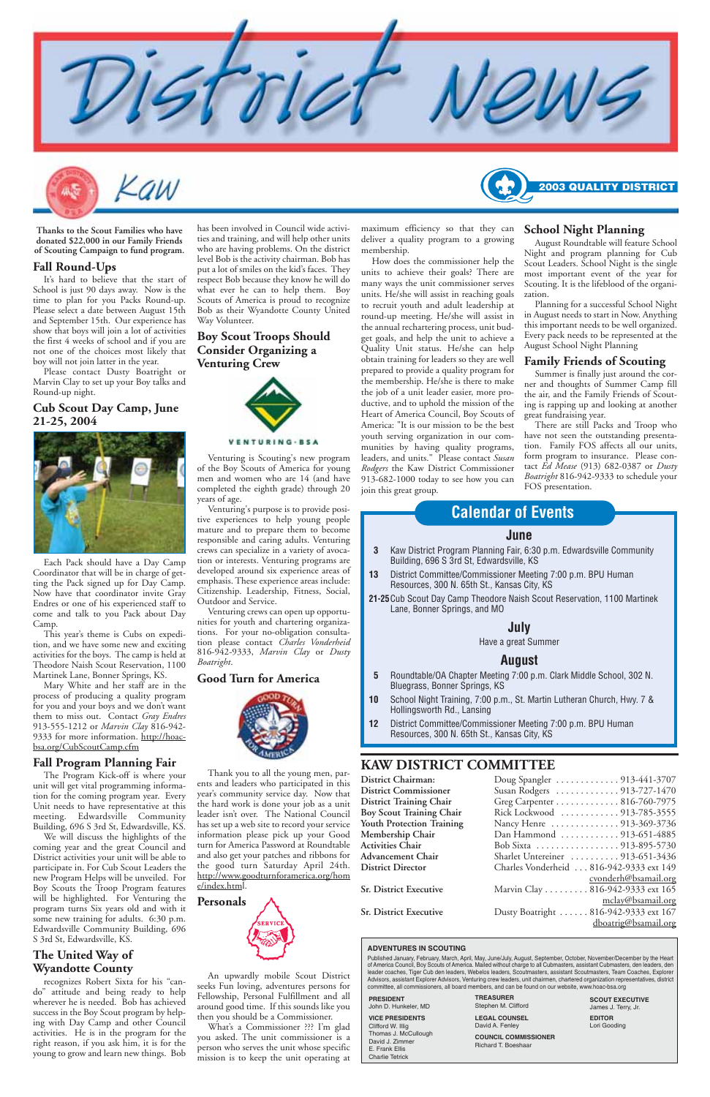

-aw

#### **KAW DISTRICT COMMITTEE**

| District Chairman:             |  |
|--------------------------------|--|
| <b>District Commissioner</b>   |  |
| <b>District Training Chair</b> |  |

| <b>District Chairman:</b>      | Doug Spangler  913-441-3707 |  |
|--------------------------------|-----------------------------|--|
| <b>District Commissioner</b>   | Susan Rodgers  913-727-1470 |  |
| <b>District Training Chair</b> | Greg Carpenter 816-760-7975 |  |

| Rick Lockwood  913-785-3555             |
|-----------------------------------------|
| Nancy Henre  913-369-3736               |
| Dan Hammond 913-651-4885                |
| Bob Sixta 913-895-5730                  |
| Sharlet Untereiner  913-651-3436        |
| Charles Vonderheid 816-942-9333 ext 149 |
| cyonderh@bsamail.org                    |
| Marvin Clay 816-942-9333 ext 165        |
| mclay@bsamail.org                       |
| Dusty Boatright  816-942-9333 ext 167   |
| dboatrig@bsamail.org                    |
|                                         |

#### **June**

- **3** Kaw District Program Planning Fair, 6:30 p.m. Edwardsville Community Building, 696 S 3rd St, Edwardsville, KS
- **13** District Committee/Commissioner Meeting 7:00 p.m. BPU Human Resources, 300 N. 65th St., Kansas City, KS
- **21-25**Cub Scout Day Camp Theodore Naish Scout Reservation, 1100 Martinek Lane, Bonner Springs, and MO

#### **July**

Have a great Summer

#### **August**

- **5** Roundtable/OA Chapter Meeting 7:00 p.m. Clark Middle School, 302 N. Bluegrass, Bonner Springs, KS
- **10** School Night Training, 7:00 p.m., St. Martin Lutheran Church, Hwy. 7 & Hollingsworth Rd., Lansing
- **12** District Committee/Commissioner Meeting 7:00 p.m. BPU Human Resources, 300 N. 65th St., Kansas City, KS

#### **Calendar of Events**

has been involved in Council wide activities and training, and will help other units who are having problems. On the district level Bob is the activity chairman. Bob has put a lot of smiles on the kid's faces. They respect Bob because they know he will do what ever he can to help them. Boy Scouts of America is proud to recognize Bob as their Wyandotte County United Way Volunteer.

#### **Boy Scout Troops Should Consider Organizing a Venturing Crew**



#### VENTURING-BSA

Venturing is Scouting's new program of the Boy Scouts of America for young men and women who are 14 (and have completed the eighth grade) through 20 years of age.

Venturing's purpose is to provide positive experiences to help young people mature and to prepare them to become responsible and caring adults. Venturing crews can specialize in a variety of avocation or interests. Venturing programs are developed around six experience areas of emphasis. These experience areas include: Citizenship. Leadership, Fitness, Social, Outdoor and Service.

Venturing crews can open up opportunities for youth and chartering organizations. For your no-obligation consultation please contact *Charles Vonderheid* 816-942-9333, *Marvin Clay* or *Dusty Boatright*.

#### **Good Turn for America**



Thank you to all the young men, parents and leaders who participated in this year's community service day. Now that the hard work is done your job as a unit leader isn't over. The National Council has set up a web site to record your service information please pick up your Good turn for America Password at Roundtable and also get your patches and ribbons for the good turn Saturday April 24th. http://www.goodturnforamerica.org/hom e/index.html.



**Personals**

An upwardly mobile Scout District seeks Fun loving, adventures persons for Fellowship, Personal Fulfillment and all around good time. If this sounds like you then you should be a Commissioner.

What's a Commissioner ??? I'm glad you asked. The unit commissioner is a person who serves the unit whose specific mission is to keep the unit operating at

**Boy Scout Training Chair Youth Protection Training Membership Chair Activities Chair Advancement Chair** . **District Director** 

**Sr. District Executive** 

**Sr. District Executive** 

maximum efficiency so that they can deliver a quality program to a growing

membership.

How does the commissioner help the units to achieve their goals? There are many ways the unit commissioner serves units. He/she will assist in reaching goals to recruit youth and adult leadership at round-up meeting. He/she will assist in the annual rechartering process, unit budget goals, and help the unit to achieve a Quality Unit status. He/she can help obtain training for leaders so they are well prepared to provide a quality program for the membership. He/she is there to make the job of a unit leader easier, more productive, and to uphold the mission of the Heart of America Council, Boy Scouts of America: "It is our mission to be the best youth serving organization in our communities by having quality programs, leaders, and units." Please contact *Susan Rodgers* the Kaw District Commissioner 913-682-1000 today to see how you can

Published January, February, March, April, May, June/July, August, September, October, November/December by the Heart<br>of America Council, Boy Scouts of America. Mailed without charge to all Cubmasters, assistant Cubmasters leader coaches, Tiger Cub den leaders, Webelos leaders, Scoutmasters, assistant Scoutmasters, Team Coaches, Explorer Advisors, assistant Explorer Advisors, Venturing crew leaders, unit chairmen, chartered organization representatives, district committee, all commissioners, all board members, and can be found on our website, www.hoac-bsa.org

join this great group.

# 2003 QUALITY

#### **School Night Planning**

August Roundtable will feature School Night and program planning for Cub Scout Leaders. School Night is the single most important event of the year for Scouting. It is the lifeblood of the organization.

Planning for a successful School Night in August needs to start in Now. Anything this important needs to be well organized. Every pack needs to be represented at the August School Night Planning

#### **Family Friends of Scouting**

Summer is finally just around the corner and thoughts of Summer Camp fill the air, and the Family Friends of Scouting is rapping up and looking at another great fundraising year.

There are still Packs and Troop who have not seen the outstanding presentation. Family FOS affects all our units, form program to insurance. Please contact *Ed Mease* (913) 682-0387 or *Dusty Boatright* 816-942-9333 to schedule your FOS presentation.

**Thanks to the Scout Families who have donated \$22,000 in our Family Friends of Scouting Campaign to fund program.**

#### **Fall Round-Ups**

It's hard to believe that the start of School is just 90 days away. Now is the time to plan for you Packs Round-up. Please select a date between August 15th and September 15th. Our experience has show that boys will join a lot of activities the first 4 weeks of school and if you are not one of the choices most likely that boy will not join latter in the year.

Please contact Dusty Boatright or Marvin Clay to set up your Boy talks and Round-up night.

#### **Cub Scout Day Camp, June 21-25, 2004**



Each Pack should have a Day Camp Coordinator that will be in charge of getting the Pack signed up for Day Camp. Now have that coordinator invite Gray Endres or one of his experienced staff to come and talk to you Pack about Day Camp.

This year's theme is Cubs on expedition, and we have some new and exciting activities for the boys. The camp is held at Theodore Naish Scout Reservation, 1100 Martinek Lane, Bonner Springs, KS.

Mary White and her staff are in the process of producing a quality program for you and your boys and we don't want them to miss out. Contact *Gray Endres* 913-555-1212 or *Marvin Clay* 816-942- 9333 for more information. http://hoacbsa.org/CubScoutCamp.cfm

#### **Fall Program Planning Fair**

The Program Kick-off is where your unit will get vital programming information for the coming program year. Every Unit needs to have representative at this meeting. Edwardsville Community Building, 696 S 3rd St, Edwardsville, KS. We will discuss the highlights of the coming year and the great Council and District activities your unit will be able to participate in. For Cub Scout Leaders the new Program Helps will be unveiled. For Boy Scouts the Troop Program features will be highlighted. For Venturing the program turns Six years old and with it some new training for adults. 6:30 p.m. Edwardsville Community Building, 696 S 3rd St, Edwardsville, KS.

#### **The United Way of Wyandotte County**

recognizes Robert Sixta for his "cando" attitude and being ready to help wherever he is needed. Bob has achieved success in the Boy Scout program by helping with Day Camp and other Council activities. He is in the program for the right reason, if you ask him, it is for the young to grow and learn new things. Bob

#### **ADVENTURES IN SCOUTING**

**SCOUT EXECUTIVE** James J. Terry, Jr.

| <b>PRESIDENT</b>                                                                                                                   | <b>TREASURER</b>                                                                              |
|------------------------------------------------------------------------------------------------------------------------------------|-----------------------------------------------------------------------------------------------|
| John D. Hunkeler, MD                                                                                                               | Stephen M. Clifford                                                                           |
| <b>VICE PRESIDENTS</b><br>Clifford W. Illig<br>Thomas J. McCullough<br>David J. Zimmer<br>E. Frank Ellis<br><b>Charlie Tetrick</b> | <b>LEGAL COUNSEL</b><br>David A. Fenley<br><b>COUNCIL COMMISSIONER</b><br>Richard T. Boeshaar |

**EDITOR** Lori Gooding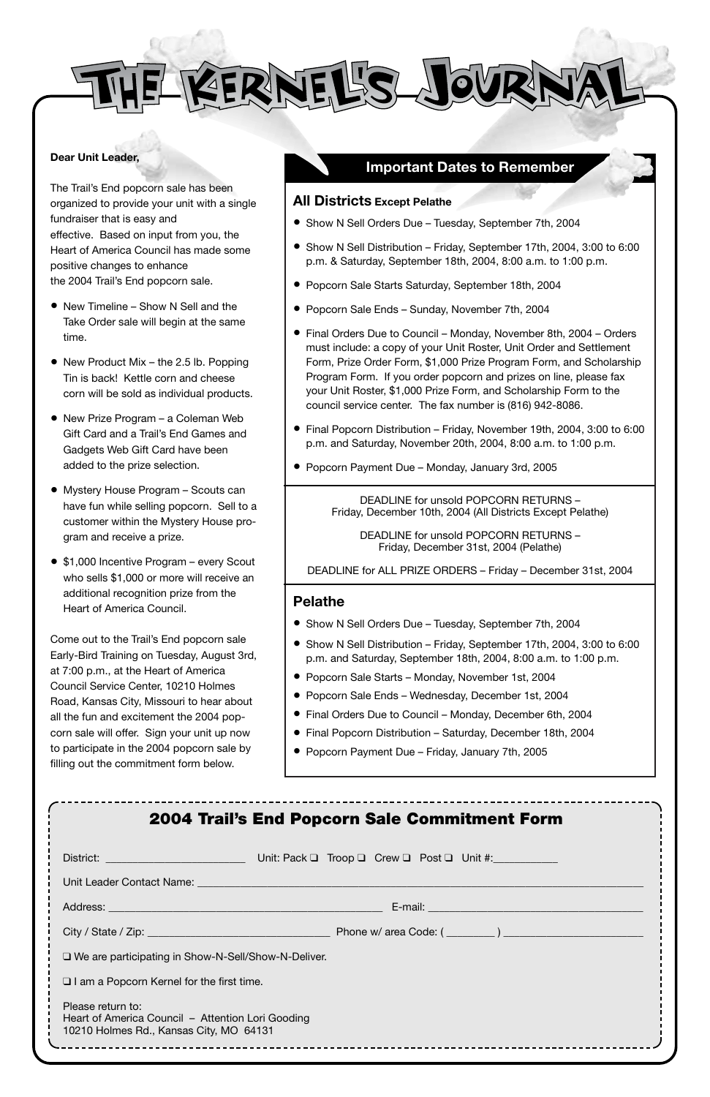KERNEL'S JOURI

#### **Dear Unit Leader,**

The Trail's End popcorn sale has been organized to provide your unit with a single fundraiser that is easy and effective. Based on input from you, the Heart of America Council has made some positive changes to enhance the 2004 Trail's End popcorn sale.

- New Timeline Show N Sell and the Take Order sale will begin at the same time.
- New Product Mix the 2.5 lb. Popping Tin is back! Kettle corn and cheese corn will be sold as individual products.
- New Prize Program a Coleman Web Gift Card and a Trail's End Games and Gadgets Web Gift Card have been added to the prize selection.
- Mystery House Program Scouts can have fun while selling popcorn. Sell to a customer within the Mystery House program and receive a prize.
- \$1,000 Incentive Program every Scout who sells \$1,000 or more will receive an additional recognition prize from the Heart of America Council.

Come out to the Trail's End popcorn sale Early-Bird Training on Tuesday, August 3rd, at 7:00 p.m., at the Heart of America Council Service Center, 10210 Holmes Road, Kansas City, Missouri to hear about all the fun and excitement the 2004 popcorn sale will offer. Sign your unit up now to participate in the 2004 popcorn sale by filling out the commitment form below.

| <b>2004 Trail's End Popcorn Sale Commitment Form</b>                                                              |
|-------------------------------------------------------------------------------------------------------------------|
|                                                                                                                   |
| Unit Leader Contact Name: Unit Leader Contact Name: Unit Leader Contact Name: Unit Leader Allen Unit Leader A     |
|                                                                                                                   |
|                                                                                                                   |
| $\Box$ We are participating in Show-N-Sell/Show-N-Deliver.                                                        |
| $\Box$ I am a Popcorn Kernel for the first time.                                                                  |
| Please return to:<br>Heart of America Council - Attention Lori Gooding<br>10210 Holmes Rd., Kansas City, MO 64131 |
|                                                                                                                   |

#### **Important Dates to Remember**

#### **All Districts Except Pelathe**

- Show N Sell Orders Due Tuesday, September 7th, 2004
- Show N Sell Distribution Friday, September 17th, 2004, 3:00 to 6:00 p.m. & Saturday, September 18th, 2004, 8:00 a.m. to 1:00 p.m.
- Popcorn Sale Starts Saturday, September 18th, 2004
- Popcorn Sale Ends Sunday, November 7th, 2004
- Final Orders Due to Council Monday, November 8th, 2004 Orders must include: a copy of your Unit Roster, Unit Order and Settlement Form, Prize Order Form, \$1,000 Prize Program Form, and Scholarship Program Form. If you order popcorn and prizes on line, please fax your Unit Roster, \$1,000 Prize Form, and Scholarship Form to the council service center. The fax number is (816) 942-8086.
- Final Popcorn Distribution Friday, November 19th, 2004, 3:00 to 6:00 p.m. and Saturday, November 20th, 2004, 8:00 a.m. to 1:00 p.m.
- Popcorn Payment Due Monday, January 3rd, 2005

DEADLINE for unsold POPCORN RETURNS – Friday, December 10th, 2004 (All Districts Except Pelathe)

DEADLINE for unsold POPCORN RETURNS – Friday, December 31st, 2004 (Pelathe)

DEADLINE for ALL PRIZE ORDERS – Friday – December 31st, 2004

#### **Pelathe**

- Show N Sell Orders Due Tuesday, September 7th, 2004
- Show N Sell Distribution Friday, September 17th, 2004, 3:00 to 6:00 p.m. and Saturday, September 18th, 2004, 8:00 a.m. to 1:00 p.m.
- Popcorn Sale Starts Monday, November 1st, 2004
- Popcorn Sale Ends Wednesday, December 1st, 2004
- Final Orders Due to Council Monday, December 6th, 2004
- Final Popcorn Distribution Saturday, December 18th, 2004
- Popcorn Payment Due Friday, January 7th, 2005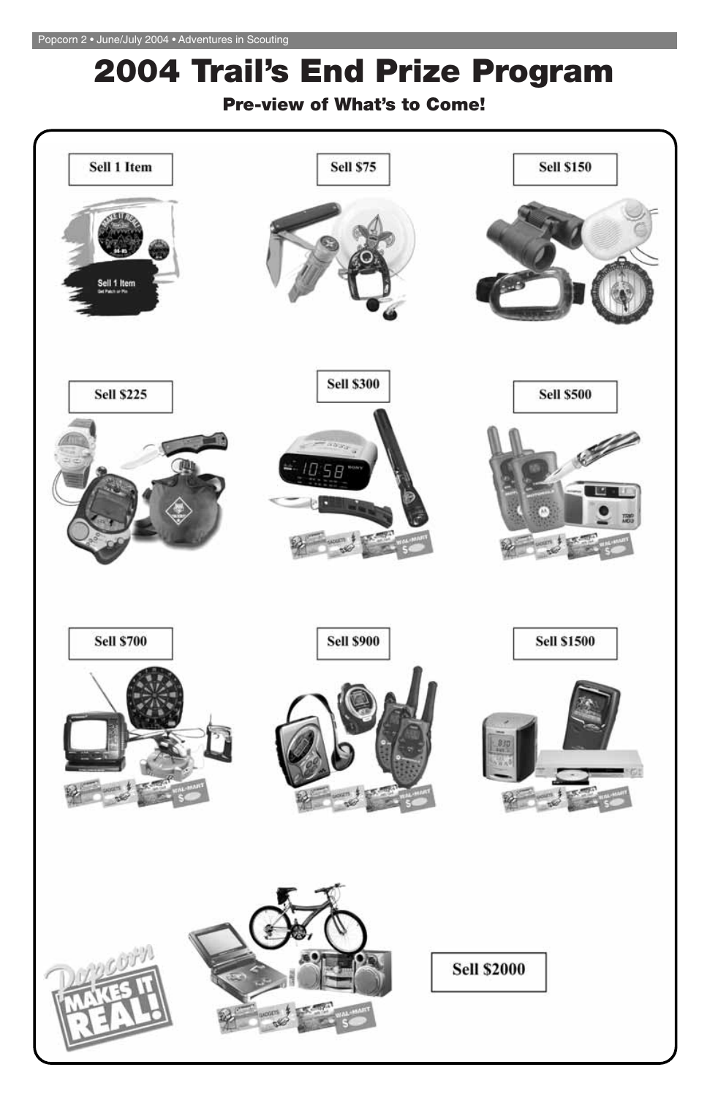# **2004 Trail's End Prize Program**

# **Pre-view of What's to Come!**

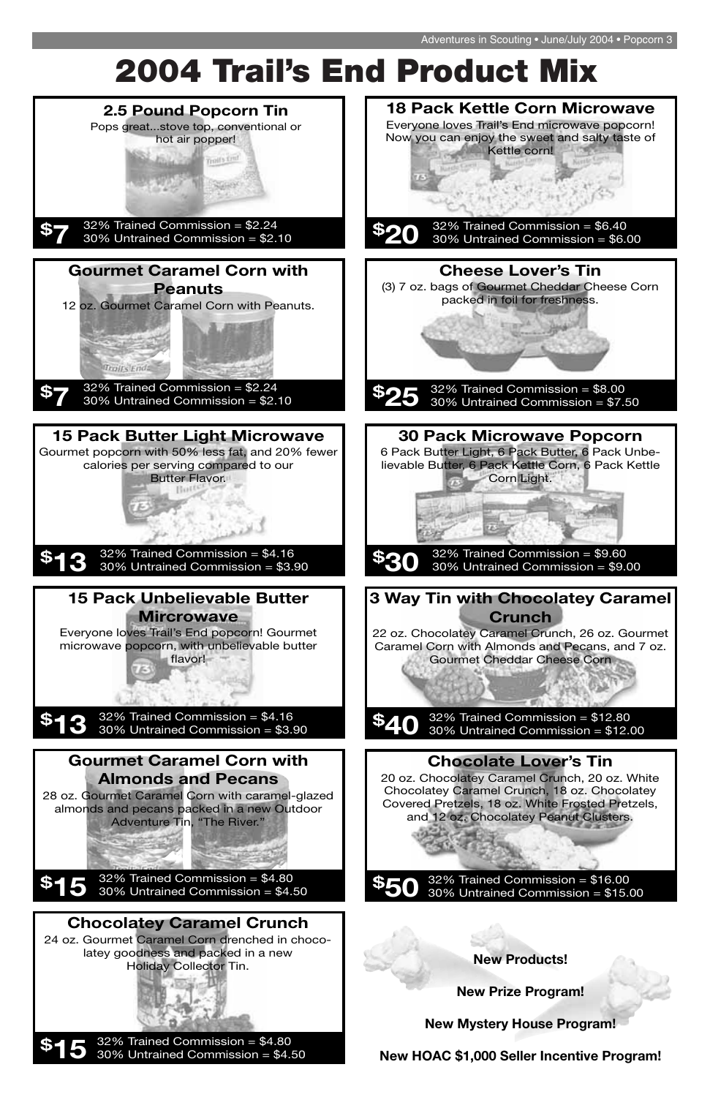# **2004 Trail's End Product Mix**

32% Trained Commission = \$16.00 30% Untrained Commission = \$15.00

almonds and pecans packed in a new Outdoor Adventure Tin, "The River."

32% Trained Commission = \$4.80 30% Untrained Commission = \$4.50 **\$15**



and 12 oz. Chocolatey Peanut Clusters.

#### **Chocolatey Caramel Crunch**

24 oz. Gourmet Caramel Corn drenched in chocolatey goodness and packed in a new Holiday Collector Tin.

32% Trained Commission = \$4.80 30% Untrained Commission = \$4.50 **\$15** **New Products!**

**New Prize Program!**

**New Mystery House Program!**

**New HOAC \$1,000 Seller Incentive Program!**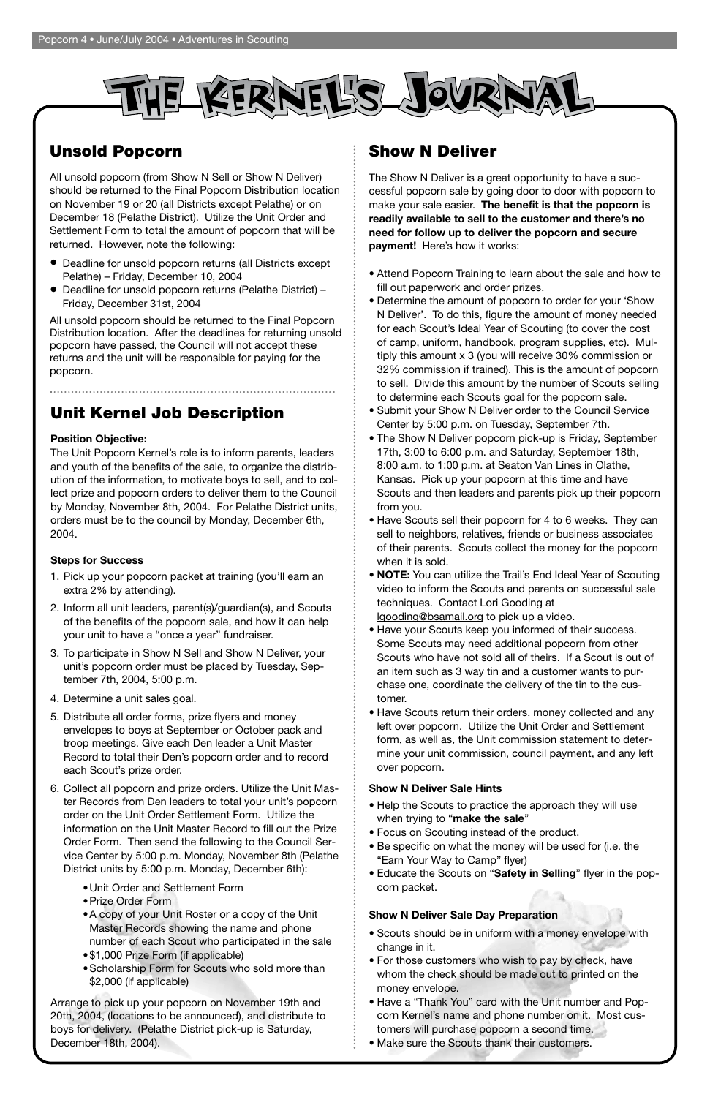

# **Unsold Popcorn**

All unsold popcorn (from Show N Sell or Show N Deliver) should be returned to the Final Popcorn Distribution location on November 19 or 20 (all Districts except Pelathe) or on December 18 (Pelathe District). Utilize the Unit Order and Settlement Form to total the amount of popcorn that will be returned. However, note the following:

- Deadline for unsold popcorn returns (all Districts except Pelathe) – Friday, December 10, 2004
- Deadline for unsold popcorn returns (Pelathe District) Friday, December 31st, 2004

All unsold popcorn should be returned to the Final Popcorn Distribution location. After the deadlines for returning unsold popcorn have passed, the Council will not accept these returns and the unit will be responsible for paying for the popcorn.

# **Show N Deliver**

The Show N Deliver is a great opportunity to have a successful popcorn sale by going door to door with popcorn to make your sale easier. **The benefit is that the popcorn is readily available to sell to the customer and there's no need for follow up to deliver the popcorn and secure payment!** Here's how it works:

- Attend Popcorn Training to learn about the sale and how to fill out paperwork and order prizes.
- Determine the amount of popcorn to order for your 'Show N Deliver'. To do this, figure the amount of money needed for each Scout's Ideal Year of Scouting (to cover the cost of camp, uniform, handbook, program supplies, etc). Multiply this amount x 3 (you will receive 30% commission or 32% commission if trained). This is the amount of popcorn to sell. Divide this amount by the number of Scouts selling to determine each Scouts goal for the popcorn sale.
- Submit your Show N Deliver order to the Council Service Center by 5:00 p.m. on Tuesday, September 7th.
- The Show N Deliver popcorn pick-up is Friday, September 17th, 3:00 to 6:00 p.m. and Saturday, September 18th, 8:00 a.m. to 1:00 p.m. at Seaton Van Lines in Olathe, Kansas. Pick up your popcorn at this time and have Scouts and then leaders and parents pick up their popcorn from you.
- Have Scouts sell their popcorn for 4 to 6 weeks. They can sell to neighbors, relatives, friends or business associates of their parents. Scouts collect the money for the popcorn when it is sold.
- **NOTE:** You can utilize the Trail's End Ideal Year of Scouting video to inform the Scouts and parents on successful sale techniques. Contact Lori Gooding at
	- lgooding@bsamail.org to pick up a video.
- Have your Scouts keep you informed of their success. Some Scouts may need additional popcorn from other Scouts who have not sold all of theirs. If a Scout is out of an item such as 3 way tin and a customer wants to purchase one, coordinate the delivery of the tin to the customer.
- Have Scouts return their orders, money collected and any left over popcorn. Utilize the Unit Order and Settlement form, as well as, the Unit commission statement to determine your unit commission, council payment, and any left over popcorn.

#### **Show N Deliver Sale Hints**

• Help the Scouts to practice the approach they will use when trying to "**make the sale**"

- Focus on Scouting instead of the product.
- Be specific on what the money will be used for (i.e. the "Earn Your Way to Camp" flyer)
- Educate the Scouts on "**Safety in Selling**" flyer in the popcorn packet.

#### **Show N Deliver Sale Day Preparation**

- Scouts should be in uniform with a money envelope with change in it.
- For those customers who wish to pay by check, have whom the check should be made out to printed on the money envelope.
- Have a "Thank You" card with the Unit number and Popcorn Kernel's name and phone number on it. Most customers will purchase popcorn a second time.
- Make sure the Scouts thank their customers.

# **Unit Kernel Job Description**

#### **Position Objective:**

The Unit Popcorn Kernel's role is to inform parents, leaders and youth of the benefits of the sale, to organize the distribution of the information, to motivate boys to sell, and to collect prize and popcorn orders to deliver them to the Council by Monday, November 8th, 2004. For Pelathe District units, orders must be to the council by Monday, December 6th, 2004.

#### **Steps for Success**

- 1. Pick up your popcorn packet at training (you'll earn an extra 2% by attending).
- 2. Inform all unit leaders, parent(s)/guardian(s), and Scouts of the benefits of the popcorn sale, and how it can help your unit to have a "once a year" fundraiser.
- 3. To participate in Show N Sell and Show N Deliver, your unit's popcorn order must be placed by Tuesday, September 7th, 2004, 5:00 p.m.
- 4. Determine a unit sales goal.
- 5. Distribute all order forms, prize flyers and money envelopes to boys at September or October pack and troop meetings. Give each Den leader a Unit Master Record to total their Den's popcorn order and to record each Scout's prize order.
- 6. Collect all popcorn and prize orders. Utilize the Unit Master Records from Den leaders to total your unit's popcorn

order on the Unit Order Settlement Form. Utilize the information on the Unit Master Record to fill out the Prize Order Form. Then send the following to the Council Service Center by 5:00 p.m. Monday, November 8th (Pelathe District units by 5:00 p.m. Monday, December 6th):

- •Unit Order and Settlement Form
- •Prize Order Form
- •A copy of your Unit Roster or a copy of the Unit Master Records showing the name and phone number of each Scout who participated in the sale
- •\$1,000 Prize Form (if applicable)
- •Scholarship Form for Scouts who sold more than \$2,000 (if applicable)

Arrange to pick up your popcorn on November 19th and 20th, 2004, (locations to be announced), and distribute to boys for delivery. (Pelathe District pick-up is Saturday, December 18th, 2004).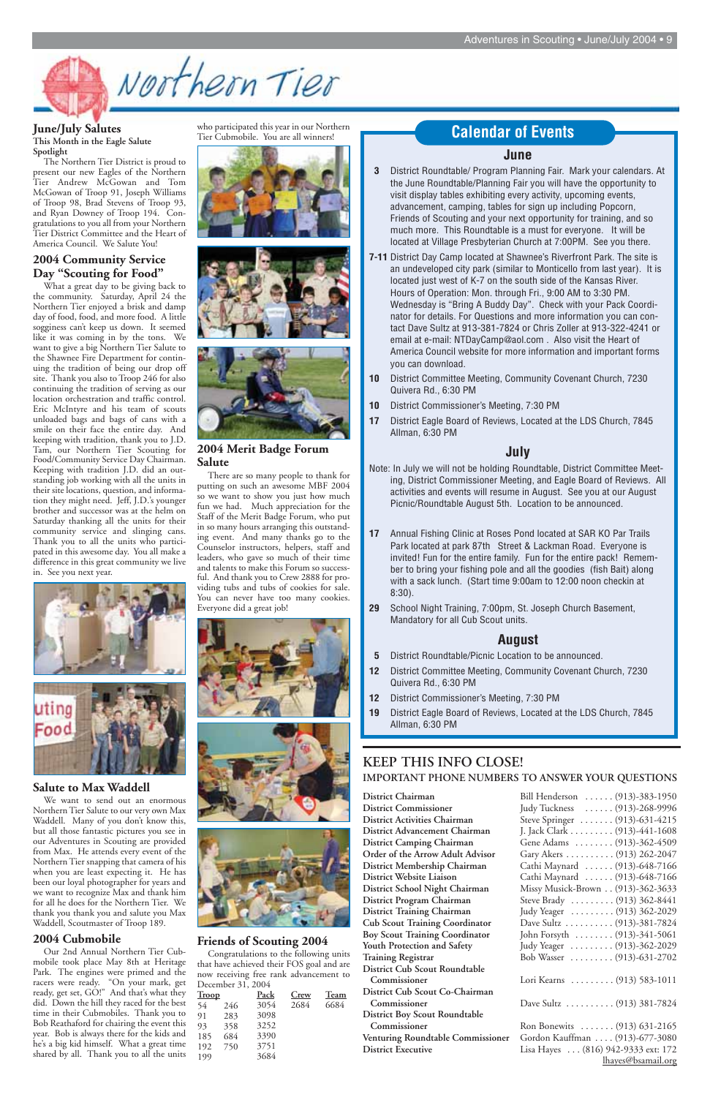

#### **June/July Salutes This Month in the Eagle Salute Spotlight**

The Northern Tier District is proud to present our new Eagles of the Northern Tier Andrew McGowan and Tom McGowan of Troop 91, Joseph Williams of Troop 98, Brad Stevens of Troop 93, and Ryan Downey of Troop 194. Congratulations to you all from your Northern Tier District Committee and the Heart of America Council. We Salute You!

#### **2004 Community Service Day "Scouting for Food"**

What a great day to be giving back to the community. Saturday, April 24 the Northern Tier enjoyed a brisk and damp day of food, food, and more food. A little sogginess can't keep us down. It seemed like it was coming in by the tons. We want to give a big Northern Tier Salute to the Shawnee Fire Department for continuing the tradition of being our drop off site. Thank you also to Troop 246 for also continuing the tradition of serving as our location orchestration and traffic control. Eric McIntyre and his team of scouts unloaded bags and bags of cans with a smile on their face the entire day. And keeping with tradition, thank you to J.D. Tam, our Northern Tier Scouting for Food/Community Service Day Chairman. Keeping with tradition J.D. did an outstanding job working with all the units in their site locations, question, and information they might need. Jeff, J.D.'s younger brother and successor was at the helm on Saturday thanking all the units for their community service and slinging cans. Thank you to all the units who participated in this awesome day. You all make a difference in this great community we live in. See you next year.





**Salute to Max Waddell** We want to send out an enormous

Northern Tier Salute to our very own Max Waddell. Many of you don't know this, but all those fantastic pictures you see in our Adventures in Scouting are provided from Max. He attends every event of the Northern Tier snapping that camera of his when you are least expecting it. He has been our loyal photographer for years and we want to recognize Max and thank him for all he does for the Northern Tier. We thank you thank you and salute you Max Waddell, Scoutmaster of Troop 189.

#### **2004 Cubmobile**

Our 2nd Annual Northern Tier Cubmobile took place May 8th at Heritage Park. The engines were primed and the racers were ready. "On your mark, get ready, get set, GO!" And that's what they did. Down the hill they raced for the best time in their Cubmobiles. Thank you to Bob Reathaford for chairing the event this year. Bob is always there for the kids and he's a big kid himself. What a great time shared by all. Thank you to all the units

who participated this year in our Northern Tier Cubmobile. You are all winners!







#### **2004 Merit Badge Forum Salute**

There are so many people to thank for putting on such an awesome MBF 2004 so we want to show you just how much fun we had. Much appreciation for the Staff of the Merit Badge Forum, who put in so many hours arranging this outstanding event. And many thanks go to the Counselor instructors, helpers, staff and leaders, who gave so much of their time and talents to make this Forum so successful. And thank you to Crew 2888 for providing tubs and tubs of cookies for sale. You can never have too many cookies. Everyone did a great job!





#### **Friends of Scouting 2004**

Congratulations to the following units that have achieved their FOS goal and are now receiving free rank advancement to December 31, 2004

#### **KEEP THIS INFO CLOSE! IMPORTANT PHONE NUMBERS TO ANSWER YOUR QUESTIONS**

**District Commissioner District Activities Chairman District Advancement Chairman District Camping Chairman Order of the Arrow Adult Advisor District Membership Chairman District Website Liaison District School Night Chairman District Program Chairman District Training Chairman Cub Scout Training Coordinator Boy Scout Training Coordinator** Youth Protection and Safety **Training Registrar District Cub Scout Roundtable**  Commissioner **District Cub Scout Co-Chairman**  Commissioner **District Boy Scout Roundtable**  Commissioner **Venturing Roundtable Commissioner District Executive** 

**District Chairman** Bill Henderson . . . . . . (913)-383-1950

| Judy Tuckness  (913)-268-9996      |
|------------------------------------|
| Steve Springer  (913)-631-4215     |
| J. Jack Clark (913)-441-1608       |
| Gene Adams  (913)-362-4509         |
| Gary Akers (913) 262-2047          |
| Cathi Maynard  (913)-648-7166      |
| Cathi Maynard (913)-648-7166       |
| Missy Musick-Brown (913)-362-3633  |
| Steve Brady  (913) 362-8441        |
| Judy Yeager (913) 362-2029         |
| Dave Sultz (913)-381-7824          |
| John Forsyth  (913)-341-5061       |
| Judy Yeager  (913)-362-2029        |
| Bob Wasser  (913)-631-2702         |
|                                    |
| Lori Kearns  (913) 583-1011        |
|                                    |
| Dave Sultz  (913) 381-7824         |
|                                    |
| Ron Bonewits  (913) 631-2165       |
| Gordon Kauffman (913)-677-3080     |
| Lisa Hayes (816) 942-9333 ext: 172 |
| lhayes@bsamail.org                 |

#### **June**

| <b>Troop</b> |     | Pack | Crew | Team |
|--------------|-----|------|------|------|
| 54           | 246 | 3054 | 2684 | 6684 |
| 91           | 283 | 3098 |      |      |
| 93           | 358 | 3252 |      |      |
| 185          | 684 | 3390 |      |      |
| 192          | 750 | 3751 |      |      |
| 199          |     | 3684 |      |      |
|              |     |      |      |      |

- **3** District Roundtable/ Program Planning Fair. Mark your calendars. At the June Roundtable/Planning Fair you will have the opportunity to visit display tables exhibiting every activity, upcoming events, advancement, camping, tables for sign up including Popcorn, Friends of Scouting and your next opportunity for training, and so much more. This Roundtable is a must for everyone. It will be located at Village Presbyterian Church at 7:00PM. See you there.
- **7-11** District Day Camp located at Shawnee's Riverfront Park. The site is an undeveloped city park (similar to Monticello from last year). It is located just west of K-7 on the south side of the Kansas River. Hours of Operation: Mon. through Fri., 9:00 AM to 3:30 PM. Wednesday is "Bring A Buddy Day". Check with your Pack Coordinator for details. For Questions and more information you can contact Dave Sultz at 913-381-7824 or Chris Zoller at 913-322-4241 or email at e-mail: NTDayCamp@aol.com . Also visit the Heart of America Council website for more information and important forms you can download.
- **10** District Committee Meeting, Community Covenant Church, 7230 Quivera Rd., 6:30 PM
- **10** District Commissioner's Meeting, 7:30 PM
- **17** District Eagle Board of Reviews, Located at the LDS Church, 7845 Allman, 6:30 PM

#### **July**

- Note: In July we will not be holding Roundtable, District Committee Meeting, District Commissioner Meeting, and Eagle Board of Reviews. All activities and events will resume in August. See you at our August Picnic/Roundtable August 5th. Location to be announced.
- **17** Annual Fishing Clinic at Roses Pond located at SAR KO Par Trails Park located at park 87th Street & Lackman Road. Everyone is invited! Fun for the entire family. Fun for the entire pack! Remember to bring your fishing pole and all the goodies (fish Bait) along with a sack lunch. (Start time 9:00am to 12:00 noon checkin at 8:30).
- **29** School Night Training, 7:00pm, St. Joseph Church Basement, Mandatory for all Cub Scout units.

#### **August**

- **5** District Roundtable/Picnic Location to be announced.
- **12** District Committee Meeting, Community Covenant Church, 7230 Quivera Rd., 6:30 PM
- **12** District Commissioner's Meeting, 7:30 PM
- **19** District Eagle Board of Reviews, Located at the LDS Church, 7845 Allman, 6:30 PM

#### **Calendar of Events**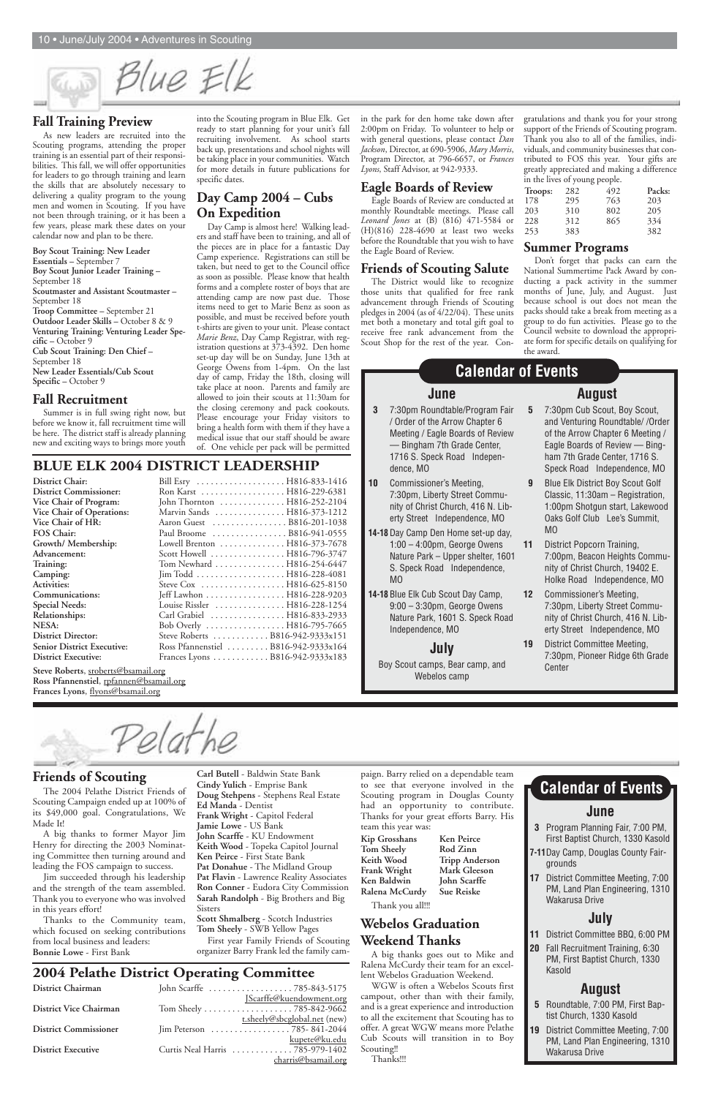**Friends of Scouting**

The 2004 Pelathe District Friends of Scouting Campaign ended up at 100% of

its \$49,000 goal. Congratulations, We Made It!

A big thanks to former Mayor Jim Henry for directing the 2003 Nominating Committee then turning around and leading the FOS campaign to success.

Jim succeeded through his leadership and the strength of the team assembled. Thank you to everyone who was involved in this years effort!

Thanks to the Community team, which focused on seeking contributions from local business and leaders: **Bonnie Lowe** - First Bank

paign. Barry relied on a dependable team to see that everyone involved in the Scouting program in Douglas County had an opportunity to contribute. Thanks for your great efforts Barry. His team this year was:

**Kip Grosshans Ken Peirce Tom Sheely Rod Zinn Keith Wood Tripp Anderson Frank Wright Mark Gleeson Ken Baldwin John Scarffe Ralena McCurdy Sue Reiske**

Thank you all!!!

#### **Webelos Graduation Weekend Thanks**

A big thanks goes out to Mike and Ralena McCurdy their team for an excellent Webelos Graduation Weekend.

WGW is often a Webelos Scouts first campout, other than with their family, and is a great experience and introduction to all the excitement that Scouting has to offer. A great WGW means more Pelathe Cub Scouts will transition in to Boy Scouting!!

#### Thanks!!!

**Carl Butell** - Baldwin State Bank **Cindy Yulich** - Emprise Bank **Doug Stehpens** - Stephens Real Estate **Ed Manda** - Dentist

**Frank Wright** - Capitol Federal **Jamie Lowe** - US Bank **John Scarffe** - KU Endowment **Keith Wood** - Topeka Capitol Journal **Ken Peirce** - First State Bank **Pat Donahue** - The Midland Group **Pat Flavin** - Lawrence Reality Associates **Ron Conner** - Eudora City Commission **Sarah Randolph** - Big Brothers and Big Sisters

**Scott Shmalberg** - Scotch Industries **Tom Sheely** - SWB Yellow Pages

First year Family Friends of Scouting organizer Barry Frank led the family cam-

#### **Fall Training Preview**

As new leaders are recruited into the Scouting programs, attending the proper training is an essential part of their responsibilities. This fall, we will offer opportunities for leaders to go through training and learn the skills that are absolutely necessary to delivering a quality program to the young men and women in Scouting. If you have not been through training, or it has been a few years, please mark these dates on your calendar now and plan to be there.

#### **Boy Scout Training: New Leader Essentials –** September 7 **Boy Scout Junior Leader Training –**  September 18 **Scoutmaster and Assistant Scoutmaster –** September 18 **Troop Committee –** September 21 **Outdoor Leader Skills –** October 8 & 9 **Venturing Training: Venturing Leader Specific –** October 9 **Cub Scout Training: Den Chief –**  September 18 **New Leader Essentials/Cub Scout Specific –** October 9

#### **Fall Recruitment**

Summer is in full swing right now, but before we know it, fall recruitment time will be here. The district staff is already planning new and exciting ways to brings more youth

#### **BLUE ELK 2004 DISTRICT LEADERSHIP**

| Ron Karst H816-229-6381<br>John Thornton  H816-252-2104<br>Marvin Sands  H816-373-1212<br>Aaron Guest B816-201-1038<br>Paul Broome  B816-941-0555<br>Lowell Brenton  H816-373-7678<br>Scott Howell  H816-796-3747<br>Tom Newhard  H816-254-6447<br>Jeff Lawhon H816-228-9203<br>Louise Rissler  H816-228-1254<br>Carl Grabiel  H816-833-2933<br>Bob Overly  H816-795-7665 | District Chair:                   | Bill Esry  H816-833-1416         |  |
|---------------------------------------------------------------------------------------------------------------------------------------------------------------------------------------------------------------------------------------------------------------------------------------------------------------------------------------------------------------------------|-----------------------------------|----------------------------------|--|
|                                                                                                                                                                                                                                                                                                                                                                           | <b>District Commissioner:</b>     |                                  |  |
|                                                                                                                                                                                                                                                                                                                                                                           | Vice Chair of Program:            |                                  |  |
|                                                                                                                                                                                                                                                                                                                                                                           | Vice Chair of Operations:         |                                  |  |
|                                                                                                                                                                                                                                                                                                                                                                           | Vice Chair of HR:                 |                                  |  |
|                                                                                                                                                                                                                                                                                                                                                                           | <b>FOS Chair:</b>                 |                                  |  |
|                                                                                                                                                                                                                                                                                                                                                                           | Growth/ Membership:               |                                  |  |
|                                                                                                                                                                                                                                                                                                                                                                           | Advancement:                      |                                  |  |
|                                                                                                                                                                                                                                                                                                                                                                           | Training:                         |                                  |  |
|                                                                                                                                                                                                                                                                                                                                                                           | Camping:                          |                                  |  |
|                                                                                                                                                                                                                                                                                                                                                                           | <b>Activities:</b>                |                                  |  |
|                                                                                                                                                                                                                                                                                                                                                                           | Communications:                   |                                  |  |
|                                                                                                                                                                                                                                                                                                                                                                           | <b>Special Needs:</b>             |                                  |  |
|                                                                                                                                                                                                                                                                                                                                                                           | Relationships:                    |                                  |  |
|                                                                                                                                                                                                                                                                                                                                                                           | NESA:                             |                                  |  |
|                                                                                                                                                                                                                                                                                                                                                                           | <b>District Director:</b>         | Steve Roberts  B816-942-9333x151 |  |
| Ross Pfannenstiel  B816-942-9333x164                                                                                                                                                                                                                                                                                                                                      | <b>Senior District Executive:</b> |                                  |  |
| Frances Lyons B816-942-9333x183                                                                                                                                                                                                                                                                                                                                           | <b>District Executive:</b>        |                                  |  |
|                                                                                                                                                                                                                                                                                                                                                                           |                                   |                                  |  |

Speck Road Independence, MO **9** Blue Elk District Boy Scout Golf

- Classic, 11:30am Registration, 1:00pm Shotgun start, Lakewood Oaks Golf Club Lee's Summit, MO
- **11** District Popcorn Training, 7:00pm, Beacon Heights Community of Christ Church, 19402 E. Holke Road Independence, MO
- **12** Commissioner's Meeting, 7:30pm, Liberty Street Community of Christ Church, 416 N. Liberty Street Independence, MO
- **19** District Committee Meeting, 7:30pm, Pioneer Ridge 6th Grade **Center**

**Steve Roberts**, sroberts@bsamail.org Ross Pfannenstiel, rpfannen@bsamail.org **Frances Lyons**, flyons@bsamail.org

Pelati

in the park for den home take down after 2:00pm on Friday. To volunteer to help or with general questions, please contact *Dan Jackson*, Director, at 690-5906, *Mary Morris*, Program Director, at 796-6657, or *Frances Lyons*, Staff Advisor, at 942-9333.

#### **Eagle Boards of Review**

Eagle Boards of Review are conducted at monthly Roundtable meetings. Please call *Leonard Jones* at (B) (816) 471-5584 or (H)(816) 228-4690 at least two weeks before the Roundtable that you wish to have the Eagle Board of Review.

#### **Friends of Scouting Salute**

The District would like to recognize those units that qualified for free rank advancement through Friends of Scouting pledges in 2004 (as of 4/22/04). These units met both a monetary and total gift goal to receive free rank advancement from the Scout Shop for the rest of the year. Con-

into the Scouting program in Blue Elk. Get ready to start planning for your unit's fall recruiting involvement. As school starts back up, presentations and school nights will be taking place in your communities. Watch for more details in future publications for specific dates.

#### **Day Camp 2004 – Cubs On Expedition**

Day Camp is almost here! Walking leaders and staff have been to training, and all of the pieces are in place for a fantastic Day Camp experience. Registrations can still be taken, but need to get to the Council office as soon as possible. Please know that health forms and a complete roster of boys that are attending camp are now past due. Those items need to get to Marie Benz as soon as possible, and must be received before youth t-shirts are given to your unit. Please contact *Marie Benz*, Day Camp Registrar, with registration questions at 373-4392. Den home set-up day will be on Sunday, June 13th at George Owens from 1-4pm. On the last day of camp, Friday the 18th, closing will take place at noon. Parents and family are allowed to join their scouts at 11:30am for the closing ceremony and pack cookouts. Please encourage your Friday visitors to bring a health form with them if they have a medical issue that our staff should be aware of. One vehicle per pack will be permitted

#### **2004 Pelathe District Operating Committee**

| District Chairman            | John Scarffe 785-843-5175       |                              |
|------------------------------|---------------------------------|------------------------------|
|                              |                                 | JScarffe@kuendowment.org     |
| District Vice Chairman       |                                 |                              |
|                              |                                 | t.sheely@sbcglobal.net (new) |
| <b>District Commissioner</b> | Jim Peterson 785-841-2044       |                              |
|                              |                                 | kupete@ku.edu                |
| <b>District Executive</b>    | Curtis Neal Harris 785-979-1402 |                              |
|                              |                                 | charris@bsamail.org          |

#### **June**

- **3** Program Planning Fair, 7:00 PM, First Baptist Church, 1330 Kasold
- **7-11**Day Camp, Douglas County Fairgrounds
- **17** District Committee Meeting, 7:00 PM, Land Plan Engineering, 1310 Wakarusa Drive

# **July**

- **11** District Committee BBQ, 6:00 PM
- **20** Fall Recruitment Training, 6:30 PM, First Baptist Church, 1330 Kasold

#### **August**

- **5** Roundtable, 7:00 PM, First Baptist Church, 1330 Kasold
- **19** District Committee Meeting, 7:00 PM, Land Plan Engineering, 1310 Wakarusa Drive

# **Calendar of Events**

#### **June**

- **3** 7:30pm Roundtable/Program Fair / Order of the Arrow Chapter 6 Meeting / Eagle Boards of Review — Bingham 7th Grade Center, 1716 S. Speck Road Independence, MO
- **10** Commissioner's Meeting, 7:30pm, Liberty Street Community of Christ Church, 416 N. Liberty Street Independence, MO
- **14-18** Day Camp Den Home set-up day, 1:00 – 4:00pm, George Owens Nature Park – Upper shelter, 1601 S. Speck Road Independence, MO
- **14-18** Blue Elk Cub Scout Day Camp, 9:00 – 3:30pm, George Owens Nature Park, 1601 S. Speck Road Independence, MO

#### **July**

Boy Scout camps, Bear camp, and Webelos camp

#### **August 5** 7:30pm Cub Scout, Boy Scout, and Venturing Roundtable/ /Order of the Arrow Chapter 6 Meeting / Eagle Boards of Review — Bingham 7th Grade Center, 1716 S.

# **Calendar of Events**

gratulations and thank you for your strong support of the Friends of Scouting program. Thank you also to all of the families, individuals, and community businesses that contributed to FOS this year. Your gifts are greatly appreciated and making a difference in the lives of young people.

#### **Summer Programs**

Don't forget that packs can earn the National Summertime Pack Award by conducting a pack activity in the summer months of June, July, and August. Just because school is out does not mean the packs should take a break from meeting as a group to do fun activities. Please go to the Council website to download the appropriate form for specific details on qualifying for the award.

Blue Elk

| Troops: | 282 | 492 | Packs: |
|---------|-----|-----|--------|
| 178     | 295 | 763 | 203    |
| 203     | 310 | 802 | 205    |
| 228     | 312 | 865 | 334    |
| 253     | 383 |     | 382    |
|         |     |     |        |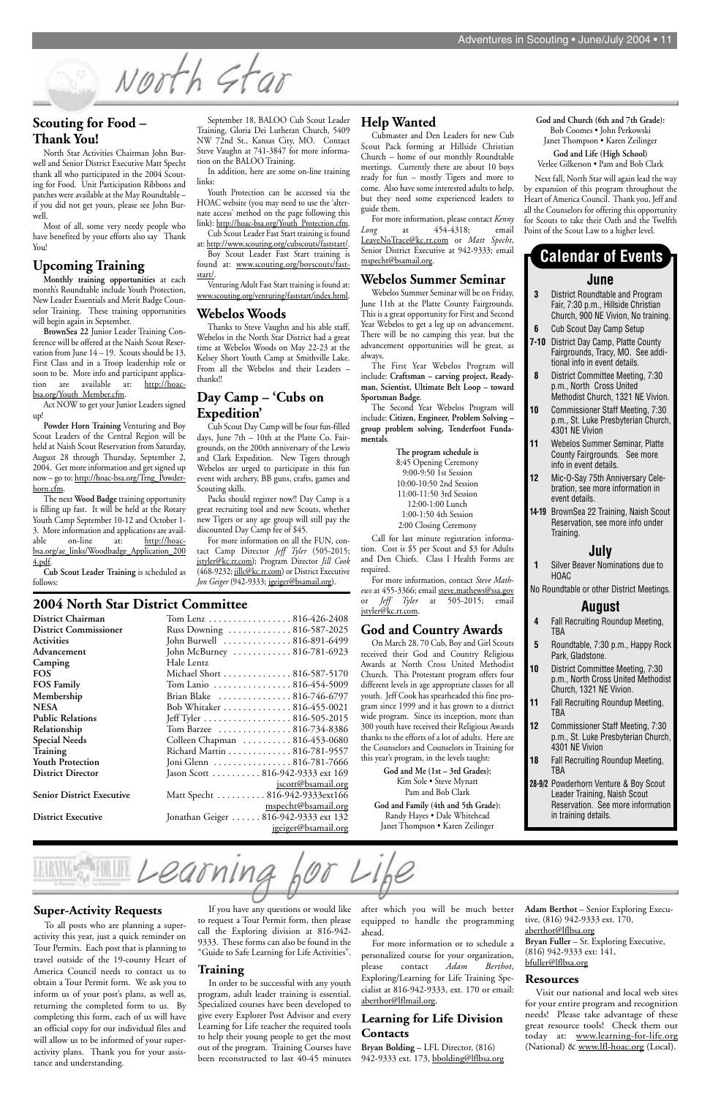#### **Scouting for Food – Thank You!**

North Star Activities Chairman John Burwell and Senior District Executive Matt Specht thank all who participated in the 2004 Scouting for Food. Unit Participation Ribbons and patches were available at the May Roundtable – if you did not get yours, please see John Burwell.

Most of all, some very needy people who have benefited by your efforts also say Thank You!

#### **Upcoming Training**

**Monthly training opportunities** at each month's Roundtable include Youth Protection, New Leader Essentials and Merit Badge Counselor Training. These training opportunities will begin again in September.

**BrownSea 22** Junior Leader Training Conference will be offered at the Naish Scout Reservation from June  $14 - 19$ . Scouts should be 13, First Class and in a Troop leadership role or soon to be. More info and participant application are available at: http://hoacbsa.org/Youth\_Member.cfm.

Act NOW to get your Junior Leaders signed up!

**Powder Horn Training** Venturing and Boy Scout Leaders of the Central Region will be held at Naish Scout Reservation from Saturday, August 28 through Thursday, September 2, 2004. Get more information and get signed up now – go to: http://hoac-bsa.org/Trng\_Powderhorn.cfm.

The next **Wood Badge** training opportunity is filling up fast. It will be held at the Rotary Youth Camp September 10-12 and October 1- 3. More information and applications are available on-line at: http://hoacbsa.org/ae\_links/Woodbadge\_Application\_200 4.pdf.

**Cub Scout Leader Training** is scheduled as follows:

#### **Help Wanted**

Cubmaster and Den Leaders for new Cub Scout Pack forming at Hillside Christian Church – home of our monthly Roundtable meetings. Currently there are about 10 boys ready for fun – mostly Tigers and more to come. Also have some interested adults to help, but they need some experienced leaders to guide them.

For more information, please contact *Kenny Long* at 454-4318; email LeaveNoTrace@kc.rr.com or *Matt Specht*, Senior District Executive at 942-9333; email mspecht@bsamail.org.

#### **Webelos Summer Seminar**

Webelos Summer Seminar will be on Friday, June 11th at the Platte County Fairgrounds. This is a great opportunity for First and Second Year Webelos to get a leg up on advancement. There will be no camping this year, but the advancement opportunities will be great, as always.

The First Year Webelos Program will include: **Craftsman – carving project, Readyman, Scientist, Ultimate Belt Loop – toward Sportsman Badge**.

The Second Year Webelos Program will include: **Citizen, Engineer, Problem Solving – group problem solving, Tenderfoot Fundamentals**.

> **The program schedule is**  8:45 Opening Ceremony 9:00-9:50 1st Session 10:00-10:50 2nd Session 11:00-11:50 3rd Session 12:00-1:00 Lunch 1:00-1:50 4th Session 2:00 Closing Ceremony

**District Chairman** Tom Lenz . . . . . . . . . . . . . . . . . 816-426-2408 **District Commissioner** Russ Downing . . . . . . . . . . . . . 816-587-2025 **Activities** John Burwell . . . . . . . . . . . . . . 816-891-6499 John McBurney . . . . . . . . . . . . 816-781-6923

Call for last minute registration information. Cost is \$5 per Scout and \$3 for Adults and Den Chiefs. Class I Health Forms are required.

For more information, contact *Steve Mathews* at 455-3366; email steve.mathews@ssa.gov or *Jeff Tyler* at 505-2015; email jstyler@kc.rr.com.

#### **God and Country Awards**

On March 28, 70 Cub, Boy and Girl Scouts received their God and Country Religious Awards at North Cross United Methodist Church. This Protestant program offers four different levels in age appropriate classes for all youth. Jeff Cook has spearheaded this fine program since 1999 and it has grown to a district wide program. Since its inception, more than 300 youth have received their Religious Awards thanks to the efforts of a lot of adults. Here are the Counselors and Counselors in Training for this year's program, in the levels taught:

> **God and Me (1st – 3rd Grades):** Kim Sole • Steve Mynatt Pam and Bob Clark

**God and Family (4th and 5th Grade):**

Randy Hayes • Dale Whitehead Janet Thompson • Karen Zeilinger

September 18, BALOO Cub Scout Leader Training, Gloria Dei Lutheran Church, 5409 NW 72nd St., Kansas City, MO. Contact Steve Vaughn at 741-3847 for more information on the BALOO Training.

In addition, here are some on-line training links:

Youth Protection can be accessed via the HOAC website (you may need to use the 'alternate access' method on the page following this link): http://hoac-bsa.org/Youth\_Protection.cfm.

Cub Scout Leader Fast Start training is found at: http://www.scouting.org/cubscouts/faststart/. Boy Scout Leader Fast Start training is

found at: www.scouting.org/boyscouts/faststart/.

Venturing Adult Fast Start training is found at: www.scouting.org/venturing/faststart/index.html.

#### **Webelos Woods**

**Bryan Bolding** – LFL Director, (816) 942-9333 ext. 173, bbolding@lflbsa.org

Thanks to Steve Vaughn and his able staff, Webelos in the North Star District had a great time at Webelos Woods on May 22-23 at the Kelsey Short Youth Camp at Smithville Lake. From all the Webelos and their Leaders – thanks!!

#### **Day Camp – 'Cubs on Expedition'**

Cub Scout Day Camp will be four fun-filled days, June 7th – 10th at the Platte Co. Fairgrounds, on the 200th anniversary of the Lewis and Clark Expedition. New Tigers through Webelos are urged to participate in this fun event with archery, BB guns, crafts, games and Scouting skills.

Packs should register now!! Day Camp is a great recruiting tool and new Scouts, whether new Tigers or any age group will still pay the discounted Day Camp fee of \$45.

For more information on all the FUN, contact Camp Director *Jeff Tyler* (505-2015; jstyler@kc.rr.com); Program Director *Jill Cook* (468-9232; jillc@kc.rr.com) or District Executive *Jon Geiger* (942-9333; jgeiger@bsamail.org).

#### **2004 North Star District Committee**

| District Chairman            | Iom Lenz         |
|------------------------------|------------------|
| <b>District Commissioner</b> | <b>Russ Dowr</b> |
| Activities                   | John Burw        |
| Advancement                  | John McBu        |
| Camping                      | Hale Lentz       |
| <b>FOS</b>                   | Michael Sh       |
| <b>FOS Family</b>            | Tom Lanio        |
| Membership                   | Brian Blak       |
| <b>NESA</b>                  | <b>Bob Whita</b> |
| <b>Public Relations</b>      | Jeff Tyler.      |
| Relationship                 | Tom Barze        |
| <b>Special Needs</b>         | Colleen Cl       |
| Training                     | Richard M        |
| <b>Youth Protection</b>      | Joni Glenn       |
| <b>District Director</b>     | Jason Scott      |
|                              |                  |

**Senior District Executive** 

| Camping                          | Hale Lentz                       |
|----------------------------------|----------------------------------|
| <b>FOS</b>                       | Michael Short  816-587-5170      |
| <b>FOS Family</b>                | Tom Lanio 816-454-5009           |
| Membership                       | Brian Blake  816-746-6797        |
| NESA                             | Bob Whitaker 816-455-0021        |
| <b>Public Relations</b>          | Jeff Tyler 816-505-2015          |
| Relationship                     | Tom Barzee 816-734-8386          |
| <b>Special Needs</b>             | Colleen Chapman 816-453-0680     |
| Training                         | Richard Martin 816-781-9557      |
| <b>Youth Protection</b>          | Joni Glenn 816-781-7666          |
| <b>District Director</b>         | Jason Scott 816-942-9333 ext 169 |
|                                  | <u>jscott@bsamail.org</u>        |
| <b>Senior District Executive</b> | Matt Specht  816-942-9333ext166  |
|                                  |                                  |

mspecht@bsamail.org **District Executive** Jonathan Geiger . . . . . . 816-942-9333 ext 132 jgeiger@bsamail.org

#### **June**

- **3** District Roundtable and Program Fair, 7:30 p.m., Hillside Christian Church, 900 NE Vivion, No training.
- **6** Cub Scout Day Camp Setup
- **7-10** District Day Camp, Platte County Fairgrounds, Tracy, MO. See additional info in event details.
- **8** District Committee Meeting, 7:30 p.m., North Cross United Methodist Church, 1321 NE Vivion.
- **10** Commissioner Staff Meeting, 7:30 p.m., St. Luke Presbyterian Church, 4301 NE Vivion
- **11** Webelos Summer Seminar, Platte County Fairgrounds. See more info in event details.
- **12** Mic-O-Say 75th Anniversary Celebration, see more information in event details.
- **14-19** BrownSea 22 Training, Naish Scout Reservation, see more info under Training.

#### **July**

- **1** Silver Beaver Nominations due to HOAC
- No Roundtable or other District Meetings.

#### **August**

- **4** Fall Recruiting Roundup Meeting, TBA
- **5** Roundtable, 7:30 p.m., Happy Rock Park, Gladstone.
- **10** District Committee Meeting, 7:30 p.m., North Cross United Methodist Church, 1321 NE Vivion.
- **11** Fall Recruiting Roundup Meeting, TBA
- **12** Commissioner Staff Meeting, 7:30 p.m., St. Luke Presbyterian Church, 4301 NE Vivion
- **18** Fall Recruiting Roundup Meeting, TBA
- **28-9/2** Powderhorn Venture & Boy Scout Leader Training, Naish Scout Reservation. See more information

in training details.

#### **Calendar of Events**

**God and Church (6th and 7th Grade):** Bob Coomes • John Perkowski Janet Thompson • Karen Zeilinger

**God and Life (High School)** Verlee Gilkerson • Pam and Bob Clark

Next fall, North Star will again lead the way by expansion of this program throughout the Heart of America Council. Thank you, Jeff and all the Counselors for offering this opportunity for Scouts to take their Oath and the Twelfth Point of the Scout Law to a higher level.

If you have any questions or would like to request a Tour Permit form, then please call the Exploring division at 816-942- 9333. These forms can also be found in the "Guide to Safe Learning for Life Activities".

#### **Training**

earn

In order to be successful with any youth program, adult leader training is essential. Specialized courses have been developed to give every Explorer Post Advisor and every Learning for Life teacher the required tools to help their young people to get the most out of the program. Training Courses have been reconstructed to last 40-45 minutes after which you will be much better equipped to handle the programming ahead.

For more information or to schedule a personalized course for your organization, please contact *Adam Berthot*, Exploring/Learning for Life Training Specialist at 816-942-9333, ext. 170 or email: aberthot@lflmail.org.

#### **Learning for Life Division Contacts**

**Adam Berthot** – Senior Exploring Executive, (816) 942-9333 ext. 170, aberthot@lflbsa.org **Bryan Fuller** – Sr. Exploring Executive, (816) 942-9333 ext: 141, bfuller@lflbsa.org

#### **Resources**

Visit our national and local web sites for your entire program and recognition needs! Please take advantage of these great resource tools! Check them out today at: www.learning-for-life.org (National) & www.lfl-hoac.org (Local).

#### **Super-Activity Requests**

To all posts who are planning a superactivity this year, just a quick reminder on Tour Permits. Each post that is planning to travel outside of the 19-county Heart of America Council needs to contact us to obtain a Tour Permit form. We ask you to inform us of your post's plans, as well as, returning the completed form to us. By completing this form, each of us will have an official copy for our individual files and will allow us to be informed of your superactivity plans. Thank you for your assistance and understanding.

North Star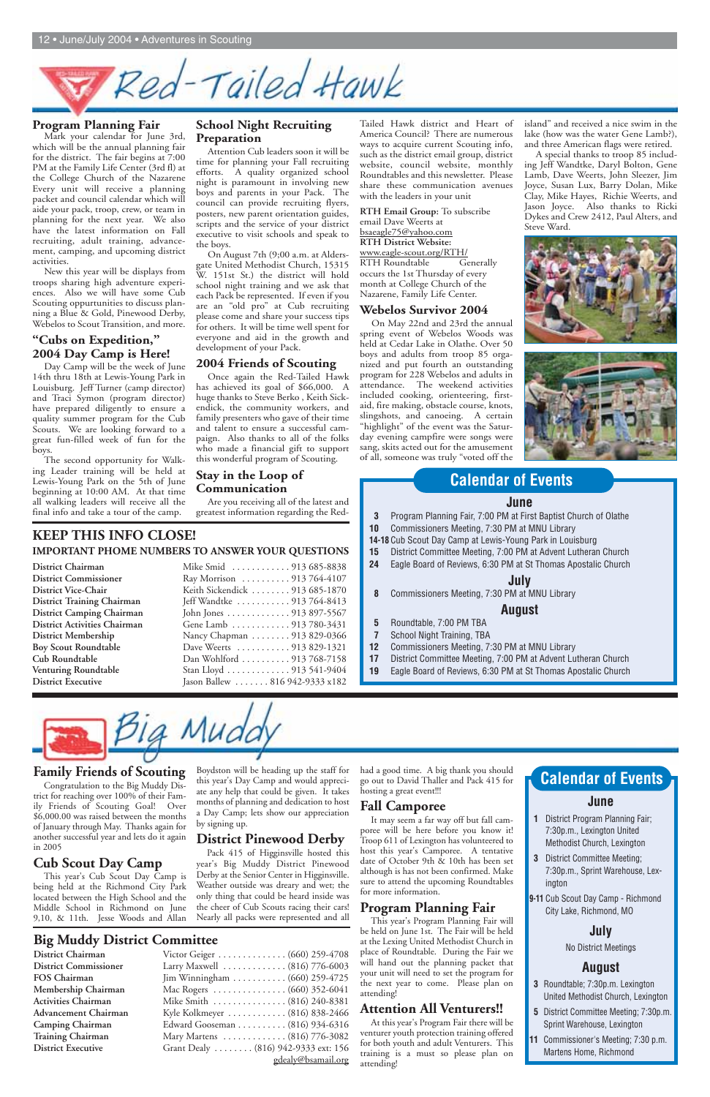# Red-Tailed Hawk

#### **Family Friends of Scouting**

Congratulation to the Big Muddy District for reaching over 100% of their Family Friends of Scouting Goal! Over \$6,000.00 was raised between the months of January through May. Thanks again for another successful year and lets do it again in 2005

#### **Cub Scout Day Camp**

This year's Cub Scout Day Camp is being held at the Richmond City Park located between the High School and the Middle School in Richmond on June 9,10, & 11th. Jesse Woods and Allan had a good time. A big thank you should go out to David Thaller and Pack 415 for hosting a great event!!!

Boydston will be heading up the staff for this year's Day Camp and would appreciate any help that could be given. It takes months of planning and dedication to host

a Day Camp; lets show our appreciation by signing up.

#### **District Pinewood Derby**

Pack 415 of Higginsville hosted this year's Big Muddy District Pinewood Derby at the Senior Center in Higginsville. Weather outside was dreary and wet; the only thing that could be heard inside was the cheer of Cub Scouts racing their cars! Nearly all packs were represented and all

#### **Fall Camporee**

It may seem a far way off but fall camporee will be here before you know it! Troop 611 of Lexington has volunteered to host this year's Camporee. A tentative date of October 9th & 10th has been set although is has not been confirmed. Make sure to attend the upcoming Roundtables for more information.

## **Program Planning Fair**

This year's Program Planning Fair will be held on June 1st. The Fair will be held at the Lexing United Methodist Church in place of Roundtable. During the Fair we will hand out the planning packet that your unit will need to set the program for the next year to come. Please plan on attending!

#### **Attention All Venturers!!**

At this year's Program Fair there will be venturer youth protection training offered for both youth and adult Venturers. This training is a must so please plan on attending!

#### **Big Muddy District Committee**

**District Chairman District Commissioner FOS Chairman Membership Chairman Activities Chairman Advancement Chairman Camping Chairman Training Chairman District Executive** 

| Victor Geiger (660) 259-4708         |
|--------------------------------------|
| Larry Maxwell  (816) 776-6003        |
| Jim Winningham  (660) 259-4725       |
| Mac Rogers (660) 352-6041            |
| Mike Smith (816) 240-8381            |
| Kyle Kolkmeyer  (816) 838-2466       |
| Edward Gooseman (816) 934-6316       |
| Mary Martens  (816) 776-3082         |
| Grant Dealy  (816) 942-9333 ext: 156 |
| gdealy@bsamail.org                   |

- **1** District Program Planning Fair; 7:30p.m., Lexington United Methodist Church, Lexington
- **3** District Committee Meeting; 7:30p.m., Sprint Warehouse, Lexington
- **9-11** Cub Scout Day Camp Richmond City Lake, Richmond, MO

#### **July**



No District Meetings

#### **August**

- **3** Roundtable; 7:30p.m. Lexington United Methodist Church, Lexington
- **5** District Committee Meeting; 7:30p.m. Sprint Warehouse, Lexington
- **11** Commissioner's Meeting; 7:30 p.m. Martens Home, Richmond

#### **Program Planning Fair**

Mark your calendar for June 3rd, which will be the annual planning fair for the district. The fair begins at 7:00 PM at the Family Life Center (3rd fl) at the College Church of the Nazarene Every unit will receive a planning packet and council calendar which will aide your pack, troop, crew, or team in planning for the next year. We also have the latest information on Fall recruiting, adult training, advancement, camping, and upcoming district activities.

New this year will be displays from troops sharing high adventure experiences. Also we will have some Cub Scouting oppurtunities to discuss planning a Blue & Gold, Pinewood Derby, Webelos to Scout Transition, and more.

#### **"Cubs on Expedition," 2004 Day Camp is Here!**

Day Camp will be the week of June 14th thru 18th at Lewis-Young Park in Louisburg. Jeff Turner (camp director) and Traci Symon (program director) have prepared diligently to ensure a quality summer program for the Cub Scouts. We are looking forward to a great fun-filled week of fun for the boys.

The second opportunity for Walking Leader training will be held at Lewis-Young Park on the 5th of June beginning at 10:00 AM. At that time all walking leaders will receive all the final info and take a tour of the camp.

#### **School Night Recruiting Preparation**

Attention Cub leaders soon it will be time for planning your Fall recruiting efforts. A quality organized school night is paramount in involving new boys and parents in your Pack. The council can provide recruiting flyers, posters, new parent orientation guides, scripts and the service of your district executive to visit schools and speak to the boys.

On August 7th (9;00 a.m. at Aldersgate United Methodist Church, 15315 W. 151st St.) the district will hold school night training and we ask that each Pack be represented. If even if you are an "old pro" at Cub recruiting please come and share your success tips for others. It will be time well spent for everyone and aid in the growth and development of your Pack.

#### **2004 Friends of Scouting**

Once again the Red-Tailed Hawk has achieved its goal of \$66,000. A huge thanks to Steve Berko , Keith Sickendick, the community workers, and family presenters who gave of their time and talent to ensure a successful campaign. Also thanks to all of the folks who made a financial gift to support this wonderful program of Scouting.

#### **Stay in the Loop of Communication**

Are you receiving all of the latest and greatest information regarding the Red-

Tailed Hawk district and Heart of America Council? There are numerous ways to acquire current Scouting info, such as the district email group, district website, council website, monthly Roundtables and this newsletter. Please share these communication avenues with the leaders in your unit

**RTH Email Group:** To subscribe email Dave Weerts at bsaeagle75@yahoo.com **RTH District Website:** www.eagle-scout.org/RTH/ RTH Roundtable Generally occurs the 1st Thursday of every month at College Church of the Nazarene, Family Life Center.

#### **Webelos Survivor 2004**

On May 22nd and 23rd the annual spring event of Webelos Woods was held at Cedar Lake in Olathe. Over 50 boys and adults from troop 85 organized and put fourth an outstanding program for 228 Webelos and adults in attendance. The weekend activities included cooking, orienteering, firstaid, fire making, obstacle course, knots, slingshots, and canoeing. A certain "highlight" of the event was the Saturday evening campfire were songs were sang, skits acted out for the amusement of all, someone was truly "voted off the

island" and received a nice swim in the lake (how was the water Gene Lamb?), and three American flags were retired.

A special thanks to troop 85 including Jeff Wandtke, Daryl Bolton, Gene Lamb, Dave Weerts, John Sleezer, Jim Joyce, Susan Lux, Barry Dolan, Mike Clay, Mike Hayes, Richie Weerts, and Jason Joyce. Also thanks to Ricki Dykes and Crew 2412, Paul Alters, and Steve Ward.





#### **KEEP THIS INFO CLOSE! IMPORTANT PHOME NUMBERS TO ANSWER YOUR QUESTIONS**

| District Chairman                   |
|-------------------------------------|
| <b>District Commissioner</b>        |
| <b>District Vice-Chair</b>          |
| <b>District Training Chairman</b>   |
| <b>District Camping Chairman</b>    |
| <b>District Activities Chairman</b> |
| <b>District Membership</b>          |
| <b>Boy Scout Roundtable</b>         |
| Cub Roundtable                      |
| <b>Venturing Roundtable</b>         |
| <b>District Executive</b>           |

| Mike Smid 913 685-8838          |
|---------------------------------|
| Ray Morrison  913 764-4107      |
| Keith Sickendick 913 685-1870   |
| Jeff Wandtke  913 764-8413      |
| John Jones 913 897-5567         |
| Gene Lamb 913 780-3431          |
| Nancy Chapman 913 829-0366      |
| Dave Weerts  913 829-1321       |
| Dan Wohlford  913 768-7158      |
| Stan Lloyd 913 541-9404         |
| Jason Ballew  816 942-9333 x182 |
|                                 |

#### **June**

- **3** Program Planning Fair, 7:00 PM at First Baptist Church of Olathe
- **10** Commissioners Meeting, 7:30 PM at MNU Library
- **14-18** Cub Scout Day Camp at Lewis-Young Park in Louisburg
- **15** District Committee Meeting, 7:00 PM at Advent Lutheran Church
- **24** Eagle Board of Reviews, 6:30 PM at St Thomas Apostalic Church

#### **July**

**8** Commissioners Meeting, 7:30 PM at MNU Library

#### **August**

- **5** Roundtable, 7:00 PM TBA
- **7** School Night Training, TBA
- **12** Commissioners Meeting, 7:30 PM at MNU Library
- **17** District Committee Meeting, 7:00 PM at Advent Lutheran Church
- **19** Eagle Board of Reviews, 6:30 PM at St Thomas Apostalic Church



# **Calendar of Events**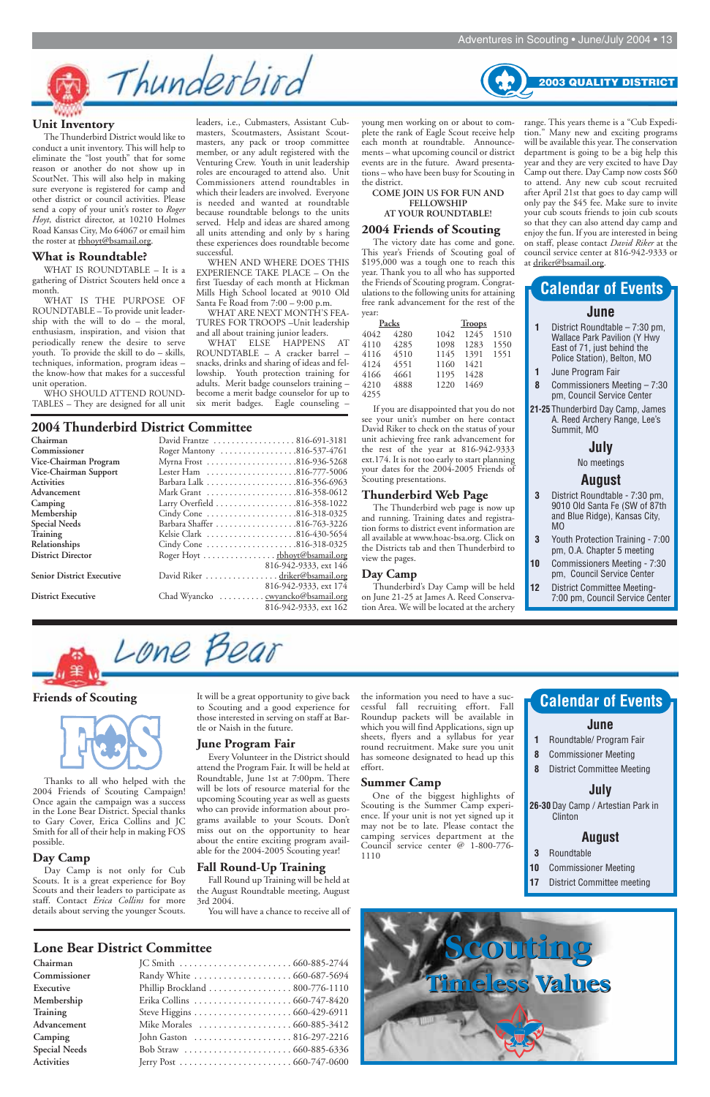#### **Friends of Scouting**



Thanks to all who helped with the 2004 Friends of Scouting Campaign! Once again the campaign was a success in the Lone Bear District. Special thanks to Gary Cover, Erica Collins and JC Smith for all of their help in making FOS possible.

#### **Day Camp**

Day Camp is not only for Cub Scouts. It is a great experience for Boy Scouts and their leaders to participate as staff. Contact *Erica Collins* for more details about serving the younger Scouts.

It will be a great opportunity to give back to Scouting and a good experience for those interested in serving on staff at Bartle or Naish in the future.

#### **June Program Fair**

Every Volunteer in the District should attend the Program Fair. It will be held at Roundtable, June 1st at 7:00pm. There will be lots of resource material for the upcoming Scouting year as well as guests who can provide information about programs available to your Scouts. Don't miss out on the opportunity to hear about the entire exciting program available for the 2004-2005 Scouting year!

#### **Fall Round-Up Training**

Fall Round up Training will be held at the August Roundtable meeting, August 3rd 2004.

You will have a chance to receive all of

The Thunderbird District would like to conduct a unit inventory. This will help to eliminate the "lost youth" that for some reason or another do not show up in ScoutNet. This will also help in making sure everyone is registered for camp and other district or council activities. Please send a copy of your unit's roster to *Roger Hoyt*, district director, at 10210 Holmes Road Kansas City, Mo 64067 or email him the roster at rbhoyt@bsamail.org.

> the information you need to have a successful fall recruiting effort. Fall Roundup packets will be available in which you will find Applications, sign up sheets, flyers and a syllabus for year round recruitment. Make sure you unit has someone designated to head up this effort.

#### **Summer Camp**

One of the biggest highlights of Scouting is the Summer Camp experience. If your unit is not yet signed up it may not be to late. Please contact the camping services department at the Council service center @ 1-800-776- 1110

#### **Lone Bear District Committee**

| Chairman             |                                |
|----------------------|--------------------------------|
| Commissioner         |                                |
| Executive            | Phillip Brockland 800-776-1110 |
| Membership           |                                |
| <b>Training</b>      |                                |
| Advancement          |                                |
| Camping              |                                |
| <b>Special Needs</b> |                                |
| <b>Activities</b>    |                                |

WHAT ELSE HAPPENS AT ROUNDTABLE – A cracker barrel – snacks, drinks and sharing of ideas and fellowship. Youth protection training for adults. Merit badge counselors training – become a merit badge counselor for up to six merit badges. Eagle counseling –

#### **Unit Inventory**

#### **What is Roundtable?**

WHAT IS ROUNDTABLE – It is a gathering of District Scouters held once a month.

WHAT IS THE PURPOSE OF ROUNDTABLE – To provide unit leadership with the will to do – the moral, enthusiasm, inspiration, and vision that periodically renew the desire to serve youth. To provide the skill to do – skills, techniques, information, program ideas – the know-how that makes for a successful unit operation.

WHO SHOULD ATTEND ROUND-TABLES – They are designed for all unit



leaders, i.e., Cubmasters, Assistant Cubmasters, Scoutmasters, Assistant Scoutmasters, any pack or troop committee member, or any adult registered with the Venturing Crew. Youth in unit leadership roles are encouraged to attend also. Unit Commissioners attend roundtables in which their leaders are involved. Everyone is needed and wanted at roundtable because roundtable belongs to the units served. Help and ideas are shared among all units attending and only by s haring these experiences does roundtable become

- **10** Commissioner Meeting
- **17** District Committee meeting

successful. WHEN AND WHERE DOES THIS EXPERIENCE TAKE PLACE – On the first Tuesday of each month at Hickman Mills High School located at 9010 Old Santa Fe Road from 7:00 – 9:00 p.m.

WHAT ARE NEXT MONTH'S FEA-TURES FOR TROOPS –Unit leadership and all about training junior leaders.

young men working on or about to complete the rank of Eagle Scout receive help each month at roundtable. Announcements – what upcoming council or district events are in the future. Award presentations – who have been busy for Scouting in the district.

#### **COME JOIN US FOR FUN AND FELLOWSHIP AT YOUR ROUNDTABLE!**

#### **2004 Friends of Scouting**

The victory date has come and gone. This year's Friends of Scouting goal of \$195,000 was a tough one to reach this year. Thank you to all who has supported the Friends of Scouting program. Congratulations to the following units for attaining free rank advancement for the rest of the year:

If you are disappointed that you do not see your unit's number on here contact David Riker to check on the status of your unit achieving free rank advancement for the rest of the year at 816-942-9333 ext.174. It is not too early to start planning your dates for the 2004-2005 Friends of Scouting presentations.

#### **Thunderbird Web Page**

The Thunderbird web page is now up and running. Training dates and registration forms to district event information are all available at www.hoac-bsa.org. Click on the Districts tab and then Thunderbird to view the pages.

#### **Day Camp**

Thunderbird's Day Camp will be held on June 21-25 at James A. Reed Conservation Area. We will be located at the archery

#### **2004 Thunderbird District Committee**

| Chairman                         | David Frantze  816-691-3181          |
|----------------------------------|--------------------------------------|
| Commissioner                     | Roger Mantony 816-537-4761           |
| Vice-Chairman Program            | Myrna Frost 816-936-5268             |
| Vice-Chairman Support            | Lester Ham 816-777-5006              |
| Activities                       |                                      |
| Advancement                      | Mark Grant 816-358-0612              |
| Camping                          |                                      |
| Membership                       | Cindy Cone 816-318-0325              |
| <b>Special Needs</b>             |                                      |
| Training                         | Kelsie Clark 816-430-5654            |
| <b>Relationships</b>             | Cindy Cone 816-318-0325              |
| <b>District Director</b>         | Roger Hoyt <u>rbhoyt@bsamail.org</u> |
|                                  | 816-942-9333, ext 146                |
| <b>Senior District Executive</b> | David Riker driker@bsamail.org       |
|                                  | 816-942-9333, ext 174                |
| <b>District Executive</b>        | Chad Wyancko gwyancko@bsamail.org    |
|                                  | 816-942-9333, ext 162                |

|      | Packs |      | <b>Troops</b> |      |
|------|-------|------|---------------|------|
| 4042 | 4280  | 1042 | 1245          | 1510 |
| 4110 | 4285  | 1098 | 1283          | 1550 |
| 4116 | 4510  | 1145 | 1391          | 1551 |
| 4124 | 4551  | 1160 | 1421          |      |
| 4166 | 4661  | 1195 | 1428          |      |
| 4210 | 4888  | 1220 | 1469          |      |
| 4255 |       |      |               |      |

#### **June**

- **1** District Roundtable 7:30 pm, Wallace Park Pavilion (Y Hwy East of 71, just behind the Police Station), Belton, MO
- **1** June Program Fair
- **8** Commissioners Meeting 7:30 pm, Council Service Center
- **21-25** Thunderbird Day Camp, James A. Reed Archery Range, Lee's Summit, MO

#### **July**

No meetings

#### **August**

- **3** District Roundtable 7:30 pm, 9010 Old Santa Fe (SW of 87th and Blue Ridge), Kansas City, MO
- **3** Youth Protection Training 7:00 pm, O.A. Chapter 5 meeting
- **10** Commissioners Meeting 7:30 pm, Council Service Center
- **12** District Committee Meeting-7:00 pm, Council Service Center



# **Calendar of Events**

#### **June**

- **1** Roundtable/ Program Fair
- **8** Commissioner Meeting
- **8** District Committee Meeting

#### **July**

**26-30** Day Camp / Artestian Park in

Clinton

#### **August**

**3** Roundtable

# **Calendar of Events**

range. This years theme is a "Cub Expedition." Many new and exciting programs will be available this year. The conservation department is going to be a big help this year and they are very excited to have Day Camp out there. Day Camp now costs \$60 to attend. Any new cub scout recruited after April 21st that goes to day camp will only pay the \$45 fee. Make sure to invite your cub scouts friends to join cub scouts so that they can also attend day camp and enjoy the fun. If you are interested in being on staff, please contact *David Riker* at the council service center at 816-942-9333 or at driker@bsamail.org.

**2003 QUALITY DISTRICT** 

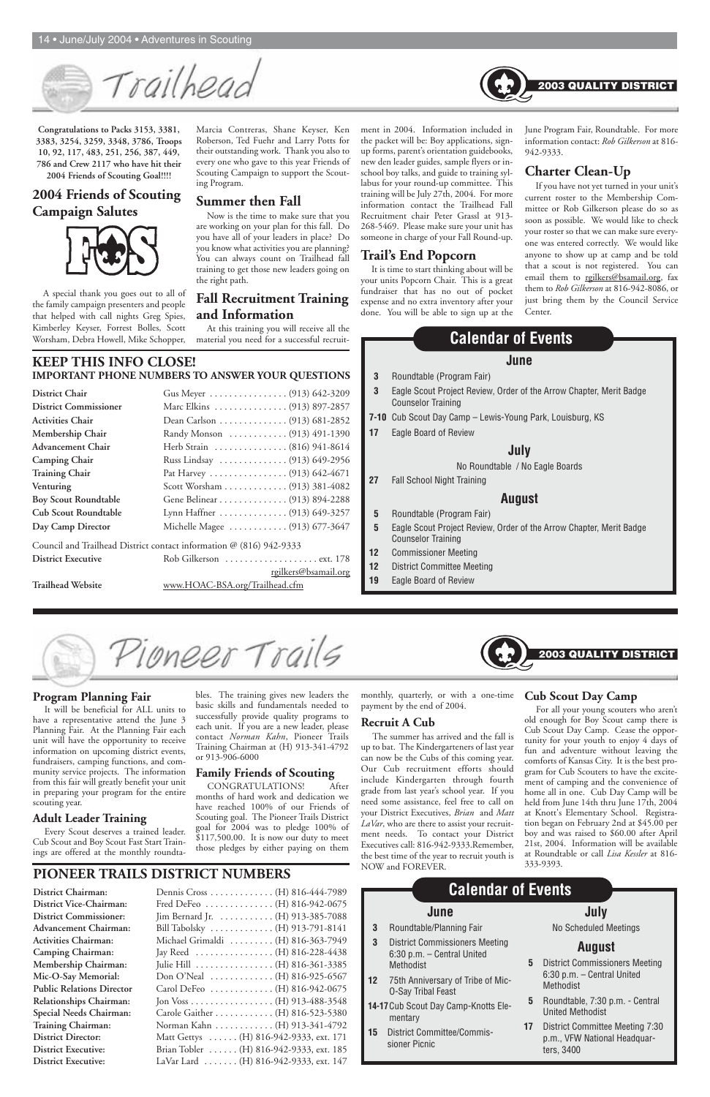**Congratulations to Packs 3153, 3381, 3383, 3254, 3259, 3348, 3786, Troops 10, 92, 117, 483, 251, 256, 387, 449, 786 and Crew 2117 who have hit their 2004 Friends of Scouting Goal!!!!**

#### **2004 Friends of Scouting Campaign Salutes**



A special thank you goes out to all of the family campaign presenters and people that helped with call nights Greg Spies, Kimberley Keyser, Forrest Bolles, Scott Worsham, Debra Howell, Mike Schopper, Marcia Contreras, Shane Keyser, Ken Roberson, Ted Fuehr and Larry Potts for their outstanding work. Thank you also to every one who gave to this year Friends of Scouting Campaign to support the Scouting Program.

#### **Summer then Fall**

Now is the time to make sure that you are working on your plan for this fall. Do you have all of your leaders in place? Do you know what activities you are planning? You can always count on Trailhead fall training to get those new leaders going on the right path.

#### **Fall Recruitment Training and Information**

At this training you will receive all the material you need for a successful recruitment in 2004. Information included in the packet will be: Boy applications, signup forms, parent's orientation guidebooks, new den leader guides, sample flyers or inschool boy talks, and guide to training syllabus for your round-up committee. This training will be July 27th, 2004. For more information contact the Trailhead Fall Recruitment chair Peter Grassl at 913- 268-5469. Please make sure your unit has someone in charge of your Fall Round-up.

#### **Trail's End Popcorn**

It is time to start thinking about will be your units Popcorn Chair. This is a great fundraiser that has no out of pocket expense and no extra inventory after your done. You will be able to sign up at the June Program Fair, Roundtable. For more information contact: *Rob Gilkerson* at 816- 942-9333.

#### **Charter Clean-Up**

If you have not yet turned in your unit's current roster to the Membership Committee or Rob Gilkerson please do so as soon as possible. We would like to check your roster so that we can make sure everyone was entered correctly. We would like anyone to show up at camp and be told that a scout is not registered. You can email them to rgilkers@bsamail.org, fax them to *Rob Gilkerson* at 816-942-8086, or just bring them by the Council Service Center.

#### **KEEP THIS INFO CLOSE! IMPORTANT PHONE NUMBERS TO ANSWER YOUR QUESTIONS**

| <b>District Chair</b>        | Gus Meyer  (913) 642-3209                                           |
|------------------------------|---------------------------------------------------------------------|
| <b>District Commissioner</b> | Marc Elkins (913) 897-2857                                          |
| <b>Activities Chair</b>      | Dean Carlson (913) 681-2852                                         |
| Membership Chair             | Randy Monson  (913) 491-1390                                        |
| <b>Advancement Chair</b>     | Herb Strain  (816) 941-8614                                         |
| <b>Camping Chair</b>         | Russ Lindsay  (913) 649-2956                                        |
| <b>Training Chair</b>        | Pat Harvey (913) 642-4671                                           |
| Venturing                    | Scott Worsham (913) 381-4082                                        |
| <b>Boy Scout Roundtable</b>  | Gene Belinear (913) 894-2288                                        |
| <b>Cub Scout Roundtable</b>  | Lynn Haffner  (913) 649-3257                                        |
| Day Camp Director            | Michelle Magee  (913) 677-3647                                      |
|                              | Council and Trailhead District contact information @ (816) 942-9333 |
| <b>District Executive</b>    | Rob Gilkerson  ext. 178                                             |

rgilkers@bsamail.org

**Trailhead Website** www.HOAC-BSA.org/Trailhead.cfm

Trailheac

#### **Program Planning Fair**

It will be beneficial for ALL units to have a representative attend the June 3 Planning Fair. At the Planning Fair each unit will have the opportunity to receive information on upcoming district events, fundraisers, camping functions, and community service projects. The information from this fair will greatly benefit your unit in preparing your program for the entire scouting year.

#### **Adult Leader Training**

Every Scout deserves a trained leader. Cub Scout and Boy Scout Fast Start Trainings are offered at the monthly roundta-

# **PIONEER TRAILS DISTRICT NUMBERS** NOW and FOREVER.

bles. The training gives new leaders the basic skills and fundamentals needed to successfully provide quality programs to each unit. If you are a new leader, please contact *Norman Kahn*, Pioneer Trails Training Chairman at (H) 913-341-4792 or 913-906-6000

#### **Family Friends of Scouting**

CONGRATULATIONS! After months of hard work and dedication we have reached 100% of our Friends of Scouting goal. The Pioneer Trails District goal for 2004 was to pledge 100% of \$117,500.00. It is now our duty to meet those pledges by either paying on them

monthly, quarterly, or with a one-time **Cub Scout Day Camp** payment by the end of 2004.

#### **Recruit A Cub**

The summer has arrived and the fall is up to bat. The Kindergarteners of last year can now be the Cubs of this coming year. Our Cub recruitment efforts should include Kindergarten through fourth grade from last year's school year. If you need some assistance, feel free to call on your District Executives, *Brian* and *Matt LaVar*, who are there to assist your recruitment needs. To contact your District Executives call: 816-942-9333.Remember, the best time of the year to recruit youth is

| District Chairman:               | Dennis Cross (H) 816-444-7989                             |
|----------------------------------|-----------------------------------------------------------|
| District Vice-Chairman:          | Fred DeFeo  (H) 816-942-0675                              |
| <b>District Commissioner:</b>    | Jim Bernard Jr. (H) 913-385-7088                          |
| <b>Advancement Chairman:</b>     | Bill Tabolsky  (H) 913-791-8141                           |
| <b>Activities Chairman:</b>      | Michael Grimaldi (H) 816-363-7949                         |
| <b>Camping Chairman:</b>         | Jay Reed (H) 816-228-4438                                 |
| Membership Chairman:             | Julie Hill (H) 816-361-3385                               |
| Mic-O-Say Memorial:              | Don O'Neal $\ldots \ldots \ldots \ldots$ (H) 816-925-6567 |
| <b>Public Relations Director</b> | Carol DeFeo (H) 816-942-0675                              |
| Relationships Chairman:          |                                                           |
| Special Needs Chairman:          | Carole Gaither (H) 816-523-5380                           |
| Training Chairman:               | Norman Kahn (H) 913-341-4792                              |
| <b>District Director:</b>        | Matt Gettys (H) 816-942-9333, ext. 171                    |
| <b>District Executive:</b>       | Brian Tobler (H) 816-942-9333, ext. 185                   |
| <b>District Executive:</b>       | LaVar Lard (H) 816-942-9333, ext. 147                     |

#### **June**

- **3** Roundtable (Program Fair)
- **3** Eagle Scout Project Review, Order of the Arrow Chapter, Merit Badge Counselor Training
- **7-10** Cub Scout Day Camp Lewis-Young Park, Louisburg, KS
- **17** Eagle Board of Review

#### **July**

#### No Roundtable / No Eagle Boards

**27** Fall School Night Training

#### **August**

- **5** Roundtable (Program Fair)
- **5** Eagle Scout Project Review, Order of the Arrow Chapter, Merit Badge Counselor Training
- **12** Commissioner Meeting
- **12** District Committee Meeting
- **19** Eagle Board of Review



#### **Calendar of Events**



For all your young scouters who aren't old enough for Boy Scout camp there is Cub Scout Day Camp. Cease the opportunity for your youth to enjoy 4 days of fun and adventure without leaving the comforts of Kansas City. It is the best program for Cub Scouters to have the excitement of camping and the convenience of home all in one. Cub Day Camp will be held from June 14th thru June 17th, 2004 at Knott's Elementary School. Registration began on February 2nd at \$45.00 per boy and was raised to \$60.00 after April 21st, 2004. Information will be available at Roundtable or call *Lisa Kessler* at 816- 333-9393.

2003 QUALITY DISTRIC'

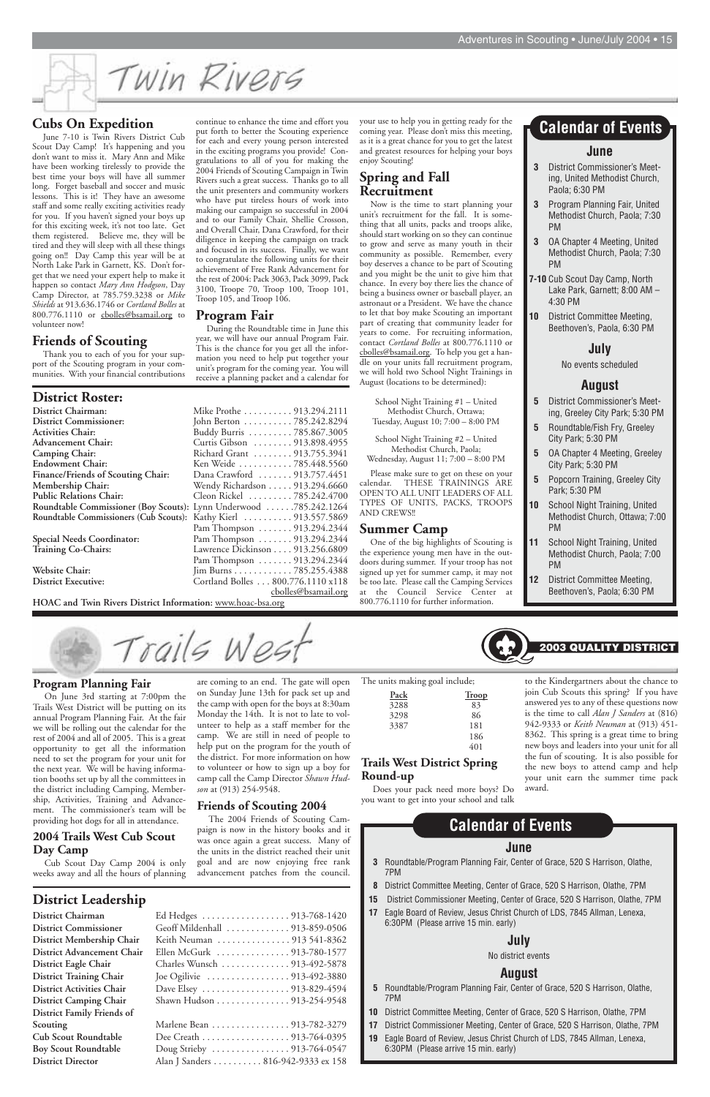Twin Rivers

**District Chairman** Ed Hedges . . . . . . . . . . . . . . . . . . 913-768-1420 **District Commissioner** Geoff Mildenhall . . . . . . . . . . . . . 913-859-0506 District Membership Chair District Advancement Chair **District Eagle Chair District Training Chair** District Activities Chair **District Camping Chair** . **District Family Friends of Cub Scout Roundtable Boy Scout Roundtable** 

| Thenus of ocouping 2001 |  |  |
|-------------------------|--|--|
|                         |  |  |

#### **District Leadership**

| District Membership Chair         | Keith Neuman  913 541-8362         |
|-----------------------------------|------------------------------------|
| <b>District Advancement Chair</b> | Ellen McGurk 913-780-1577          |
| District Eagle Chair              | Charles Wunsch 913-492-5878        |
| <b>District Training Chair</b>    |                                    |
| <b>District Activities Chair</b>  | Dave Elsey 913-829-4594            |
| <b>District Camping Chair</b>     | Shawn Hudson 913-254-9548          |
| District Family Friends of        |                                    |
| Scouting                          | Marlene Bean 913-782-3279          |
| <b>Cub Scout Roundtable</b>       | Dee Creath 913-764-0395            |
| <b>Boy Scout Roundtable</b>       |                                    |
| <b>District Director</b>          | Alan J Sanders 816-942-9333 ex 158 |
|                                   |                                    |

#### **June**

- **3** Roundtable/Program Planning Fair, Center of Grace, 520 S Harrison, Olathe, 7PM
- **8** District Committee Meeting, Center of Grace, 520 S Harrison, Olathe, 7PM
- **15** District Commissioner Meeting, Center of Grace, 520 S Harrison, Olathe, 7PM
- **17** Eagle Board of Review, Jesus Christ Church of LDS, 7845 Allman, Lenexa, 6:30PM (Please arrive 15 min. early)

## **July**

No district events

#### **August**

- **5** Roundtable/Program Planning Fair, Center of Grace, 520 S Harrison, Olathe, 7PM
- **10** District Committee Meeting, Center of Grace, 520 S Harrison, Olathe, 7PM
- **17** District Commissioner Meeting, Center of Grace, 520 S Harrison, Olathe, 7PM
- **19** Eagle Board of Review, Jesus Christ Church of LDS, 7845 Allman, Lenexa, 6:30PM (Please arrive 15 min. early)

# **Calendar of Events**

#### **Program Planning Fair**

On June 3rd starting at 7:00pm the Trails West District will be putting on its annual Program Planning Fair. At the fair we will be rolling out the calendar for the rest of 2004 and all of 2005. This is a great opportunity to get all the information need to set the program for your unit for the next year. We will be having information booths set up by all the committees in the district including Camping, Membership, Activities, Training and Advance-

ment. The commissioner's team will be providing hot dogs for all in attendance.

#### **2004 Trails West Cub Scout Day Camp**

Cub Scout Day Camp 2004 is only weeks away and all the hours of planning are coming to an end. The gate will open on Sunday June 13th for pack set up and the camp with open for the boys at 8:30am Monday the 14th. It is not to late to volunteer to help as a staff member for the camp. We are still in need of people to help put on the program for the youth of the district. For more information on how to volunteer or how to sign up a boy for camp call the Camp Director *Shawn Hudson* at (913) 254-9548.

#### **Friends of Scouting 2004**

The 2004 Friends of Scouting Campaign is now in the history books and it was once again a great success. Many of the units in the district reached their unit goal and are now enjoying free rank advancement patches from the council.



| Pack | Troop |
|------|-------|
| 3288 | 83    |
| 3298 | 86    |
| 3387 | 181   |
|      | 186   |
|      | 401   |

#### **Trails West District Spring Round-up**

Does your pack need more boys? Do you want to get into your school and talk

to the Kindergartners about the chance to join Cub Scouts this spring? If you have answered yes to any of these questions now is the time to call *Alan J Sanders* at (816) 942-9333 or *Keith Neuman* at (913) 451- 8362. This spring is a great time to bring new boys and leaders into your unit for all the fun of scouting. It is also possible for the new boys to attend camp and help your unit earn the summer time pack award.

#### **Cubs On Expedition**

June 7-10 is Twin Rivers District Cub Scout Day Camp! It's happening and you don't want to miss it. Mary Ann and Mike have been working tirelessly to provide the best time your boys will have all summer long. Forget baseball and soccer and music lessons. This is it! They have an awesome staff and some really exciting activities ready for you. If you haven't signed your boys up for this exciting week, it's not too late. Get them registered. Believe me, they will be tired and they will sleep with all these things going on!! Day Camp this year will be at North Lake Park in Garnett, KS. Don't forget that we need your expert help to make it happen so contact *Mary Ann Hodgson*, Day Camp Director, at 785.759.3238 or *Mike Shields* at 913.636.1746 or *Cortland Bolles* at 800.776.1110 or cbolles@bsamail.org to volunteer now!

#### **Friends of Scouting**

Thank you to each of you for your support of the Scouting program in your communities. With your financial contributions continue to enhance the time and effort you put forth to better the Scouting experience for each and every young person interested in the exciting programs you provide! Congratulations to all of you for making the 2004 Friends of Scouting Campaign in Twin Rivers such a great success. Thanks go to all the unit presenters and community workers who have put tireless hours of work into making our campaign so successful in 2004 and to our Family Chair, Shellie Crosson, and Overall Chair, Dana Crawford, for their diligence in keeping the campaign on track and focused in its success. Finally, we want to congratulate the following units for their achievement of Free Rank Advancement for the rest of 2004: Pack 3063, Pack 3099, Pack 3100, Troope 70, Troop 100, Troop 101, Troop 105, and Troop 106.

#### **Program Fair**

During the Roundtable time in June this year, we will have our annual Program Fair. This is the chance for you get all the information you need to help put together your unit's program for the coming year. You will receive a planning packet and a calendar for

#### **District Roster:**

| <b>District Chairman:</b>                                         | Mike Prothe 913.294.2111        |
|-------------------------------------------------------------------|---------------------------------|
| <b>District Commissioner:</b>                                     | John Berton 785.242.8294        |
| <b>Activities Chair:</b>                                          | Buddy Burris 785.867.3005       |
| <b>Advancement Chair:</b>                                         | Curtis Gibson  913.898.4955     |
| <b>Camping Chair:</b>                                             | Richard Grant  913.755.3941     |
| <b>Endowment Chair:</b>                                           | Ken Weide 785.448.5560          |
| Finance/Friends of Scouting Chair:                                | Dana Crawford  913.757.4451     |
| Membership Chair:                                                 | Wendy Richardson 913.294.6660   |
| <b>Public Relations Chair:</b>                                    | Cleon Rickel 785.242.4700       |
| Roundtable Commissioner (Boy Scouts): Lynn Underwood 785.242.1264 |                                 |
| Roundtable Commissioners (Cub Scouts): Kathy Kierl  913.557.5869  |                                 |
|                                                                   | Pam Thompson 913.294.2344       |
| Special Needs Coordinator:                                        | Pam Thompson 913.294.2344       |
| <b>Training Co-Chairs:</b>                                        | Lawrence Dickinson 913.256.6809 |

Website Chair:

**District Executive:** 

| Mike Prothe  913.294.2111         |
|-----------------------------------|
| John Berton 785.242.8294          |
| Buddy Burris 785.867.3005         |
| Curtis Gibson  913.898.4955       |
| Richard Grant  913.755.3941       |
| Ken Weide 785.448.5560            |
| Dana Crawford  913.757.4451       |
| Wendy Richardson 913.294.6660     |
| Cleon Rickel 785.242.4700         |
| Lynn Underwood 785.242.1264       |
| Kathy Kierl  913.557.5869         |
| Pam Thompson  913.294.2344        |
| Pam Thompson  913.294.2344        |
| Lawrence Dickinson 913.256.6809   |
| Pam Thompson  913.294.2344        |
|                                   |
| Jim Burns 785.255.4388            |
| Cortland Bolles 800.776.1110 x118 |
| cbolles@bsamail.org               |

**HOAC and Twin Rivers District Information:** www.hoac-bsa.org

your use to help you in getting ready for the coming year. Please don't miss this meeting, as it is a great chance for you to get the latest and greatest resources for helping your boys enjoy Scouting!

#### **Spring and Fall Recruitment**

Now is the time to start planning your unit's recruitment for the fall. It is something that all units, packs and troops alike, should start working on so they can continue to grow and serve as many youth in their community as possible. Remember, every boy deserves a chance to be part of Scouting and you might be the unit to give him that chance. In every boy there lies the chance of being a business owner or baseball player, an astronaut or a President. We have the chance to let that boy make Scouting an important part of creating that community leader for years to come. For recruiting information, contact *Cortland Bolles* at 800.776.1110 or cbolles@bsamail.org. To help you get a handle on your units fall recruitment program, we will hold two School Night Trainings in August (locations to be determined):

School Night Training #1 – United Methodist Church, Ottawa; Tuesday, August 10; 7:00 – 8:00 PM

School Night Training #2 – United Methodist Church, Paola; Wednesday, August 11; 7:00 – 8:00 PM

Please make sure to get on these on your calendar. THESE TRAININGS ARE OPEN TO ALL UNIT LEADERS OF ALL TYPES OF UNITS, PACKS, TROOPS AND CREWS!!

#### **Summer Camp**

One of the big highlights of Scouting is the experience young men have in the outdoors during summer. If your troop has not signed up yet for summer camp, it may not be too late. Please call the Camping Services at the Council Service Center 800.776.1110 for further information.

#### **June**

- **3** District Commissioner's Meeting, United Methodist Church, Paola; 6:30 PM
- **3** Program Planning Fair, United Methodist Church, Paola; 7:30 PM
- **3** OA Chapter 4 Meeting, United Methodist Church, Paola; 7:30 PM
- **7-10** Cub Scout Day Camp, North Lake Park, Garnett; 8:00 AM – 4:30 PM
- **10** District Committee Meeting, Beethoven's, Paola, 6:30 PM

#### **July**

#### No events scheduled

#### **August**

- **5** District Commissioner's Meeting, Greeley City Park; 5:30 PM
- **5** Roundtable/Fish Fry, Greeley City Park; 5:30 PM
- **5** OA Chapter 4 Meeting, Greeley City Park; 5:30 PM
- **5** Popcorn Training, Greeley City Park; 5:30 PM
- **10** School Night Training, United Methodist Church, Ottawa; 7:00 PM
- **11** School Night Training, United Methodist Church, Paola; 7:00 PM
- **12** District Committee Meeting, Beethoven's, Paola; 6:30 PM

2003 QUALI<sup>-</sup>



#### **Calendar of Events**